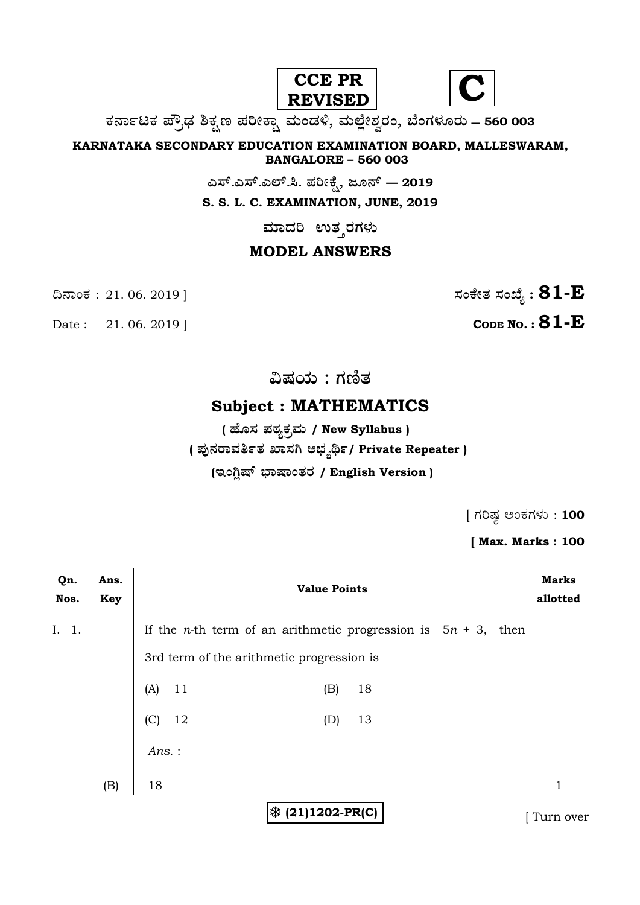



**O⁄´¤%lO⁄ ÆË√v⁄ ÃO⁄–y Æ⁄¬fiO¤– »⁄flMs⁄ÿ, »⁄fl≈Ê«fiÀ⁄ ¡⁄M, ∑ÊMV⁄◊⁄‡¡⁄fl — 560 003** 

**KARNATAKA SECONDARY EDUCATION EXAMINATION BOARD, MALLESWARAM, BANGALORE – 560 003** 

**G—È.G—È.G≈È.". Æ⁄¬fiOÊ⁄–, d‡´È — 2019**

**S. S. L. C. EXAMINATION, JUNE, 2019** 

 $\,$ ಮಾದರಿ ಉತ್ತರಗಳು

# **MODEL ANSWERS**

Date : 21. 06. 2019 | **CODE NO. : 81-E** 

¶´¤MO⁄ : 21. 06. 2019 ] **—⁄MOÊfi}⁄ —⁄MSÊ¿ : 81-E**

**…Œ⁄æ⁄fl : V⁄{}⁄**

# **Subject : MATHEMATICS**

**( 'ʇ—⁄ Æ⁄p⁄¿O⁄√»⁄fl / New Syllabus )**

**( Æ⁄'¥´⁄¡¤»⁄~%}⁄ S¤—⁄W @∫⁄¥¿£%/ Private Repeater )**

## (ಇಂಗ್ಲಿಷ್ ಭಾಷಾಂತರ / English Version )

 $[$  ಗರಿಷ್ಠ ಅಂಕಗಳು : 100

**[ Max. Marks : 100** 

| Qn.<br>Nos.        | Ans.<br>Key | <b>Value Points</b>                                                      | <b>Marks</b><br>allotted |
|--------------------|-------------|--------------------------------------------------------------------------|--------------------------|
| 1.<br>$\mathbf{L}$ |             | If the <i>n</i> -th term of an arithmetic progression is $5n + 3$ , then |                          |
|                    |             | 3rd term of the arithmetic progression is                                |                          |
|                    |             | (A)<br>11<br>18<br>(B)                                                   |                          |
|                    |             | 12<br>13<br>(C)<br>(D)                                                   |                          |
|                    |             | $Ans.$ :                                                                 |                          |
|                    | (B)         | 18                                                                       | $\mathbf{1}$             |
|                    |             | ※ (21)1202-PR(C)                                                         | Turn over                |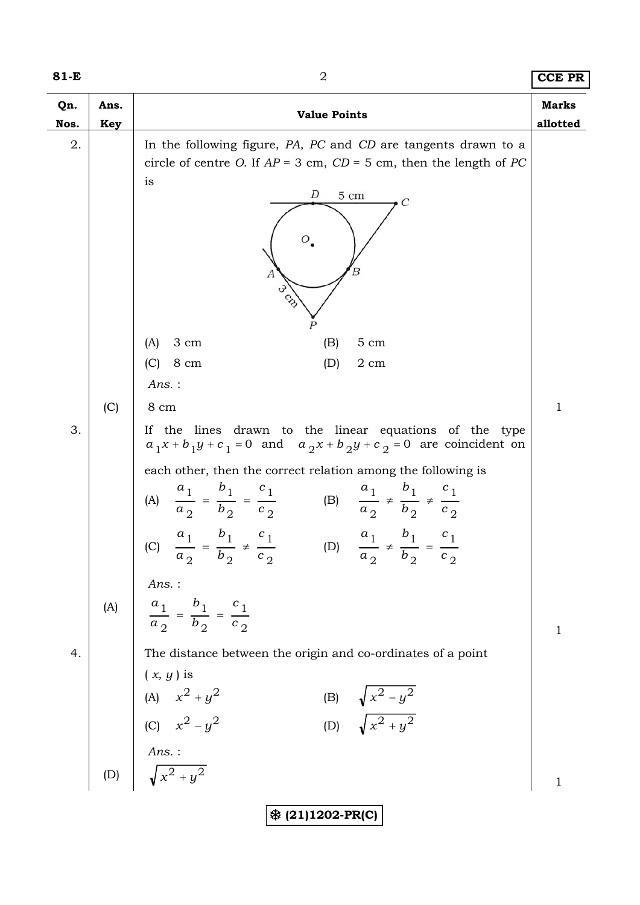| I<br>×<br>۰. |  |  |  |
|--------------|--|--|--|
|--------------|--|--|--|

| 81-E        |             | $\overline{2}$                                                                                                                                                  | <b>CCE PR</b>            |
|-------------|-------------|-----------------------------------------------------------------------------------------------------------------------------------------------------------------|--------------------------|
| Qn.<br>Nos. | Ans.<br>Key | <b>Value Points</b>                                                                                                                                             | <b>Marks</b><br>allotted |
| 2.          |             | In the following figure, PA, PC and CD are tangents drawn to a                                                                                                  |                          |
|             |             | circle of centre O. If $AP = 3$ cm, $CD = 5$ cm, then the length of PC<br>is                                                                                    |                          |
|             |             | D<br>$5\ {\rm cm}$<br>$\mathcal{C}_{0}^{2}$                                                                                                                     |                          |
|             |             |                                                                                                                                                                 |                          |
|             |             | Ο.                                                                                                                                                              |                          |
|             |             |                                                                                                                                                                 |                          |
|             |             | cs.                                                                                                                                                             |                          |
|             |             |                                                                                                                                                                 |                          |
|             |             | 3 cm<br>5 cm<br>(A)<br>(B)                                                                                                                                      |                          |
|             |             | (C)<br>8 cm<br>(D)<br>2 cm                                                                                                                                      |                          |
|             |             | $Ans.$ :                                                                                                                                                        |                          |
|             | (C)         | 8 cm                                                                                                                                                            | $\mathbf 1$              |
| 3.          |             | If the lines drawn to the linear equations of the type<br>$a_1x + b_1y + c_1 = 0$ and $a_2x + b_2y + c_2 = 0$ are coincident on                                 |                          |
|             |             | each other, then the correct relation among the following is                                                                                                    |                          |
|             |             | $\frac{a_1}{a_2} = \frac{b_1}{b_2} = \frac{c_1}{c_2}$<br>(B) $\frac{a_1}{a_2} \neq \frac{b_1}{b_2} \neq \frac{c_1}{c_2}$<br>(A)                                 |                          |
|             |             | $a_1$ $b_1$<br>$a_1$ $b_1$ $c_1$<br>$c_{1}$<br>(C) $\frac{1}{a_2} = \frac{1}{b_2} \neq \frac{1}{c_2}$<br>(D) $\frac{1}{a_2} \neq \frac{1}{b_2} = \frac{1}{c_2}$ |                          |
|             |             | Ans. :                                                                                                                                                          |                          |
|             | (A)         | $\frac{a_1}{a_2} = \frac{b_1}{b_2} = \frac{c_1}{c_2}$                                                                                                           |                          |
| 4.          |             | The distance between the origin and co-ordinates of a point                                                                                                     | $\mathbf 1$              |
|             |             | $(x, y)$ is                                                                                                                                                     |                          |
|             |             |                                                                                                                                                                 |                          |
|             |             | (B) $\sqrt{x^2 - y^2}$<br>(D) $\sqrt{x^2 + y^2}$                                                                                                                |                          |
|             |             |                                                                                                                                                                 |                          |
|             |             | (A) $x^2 + y^2$<br>(C) $x^2 - y^2$<br><i>Ans.</i> :<br>(D) $\sqrt{x^2 + y^2}$                                                                                   | $\mathbf{1}$             |
|             |             | ※ (21)1202-PR(C)                                                                                                                                                |                          |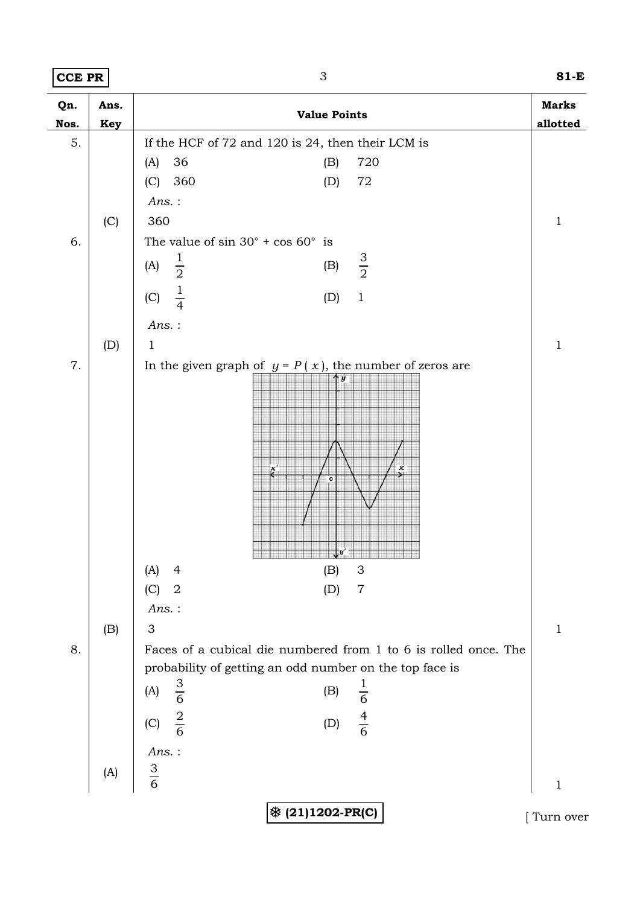**CCE PR** 3 **81-E**

| Qn.  | Ans. | <b>Value Points</b>                                             | <b>Marks</b> |
|------|------|-----------------------------------------------------------------|--------------|
| Nos. | Key  |                                                                 | allotted     |
| 5.   |      | If the HCF of 72 and 120 is 24, then their LCM is               |              |
|      |      | 36<br>720<br>(A)<br>(B)                                         |              |
|      |      | (C) 360<br>$72\,$<br>(D)                                        |              |
|      |      | $Ans.$ :                                                        |              |
|      | (C)  | 360                                                             | $1\,$        |
| 6.   |      | The value of $\sin 30^\circ + \cos 60^\circ$ is                 |              |
|      |      | $\frac{1}{2}$<br>$rac{3}{2}$<br>(A)<br>(B)                      |              |
|      |      | $rac{1}{4}$<br>(C)<br>$\,1\,$<br>(D)                            |              |
|      |      |                                                                 |              |
|      |      | $Ans.$ :                                                        |              |
|      | (D)  | $\mathbf{1}$                                                    | $\mathbf{1}$ |
| 7.   |      | In the given graph of $y = P(x)$ , the number of zeros are      |              |
|      |      | y                                                               |              |
|      |      |                                                                 |              |
|      |      |                                                                 |              |
|      |      |                                                                 |              |
|      |      | x                                                               |              |
|      |      | $\overline{0}$                                                  |              |
|      |      |                                                                 |              |
|      |      |                                                                 |              |
|      |      |                                                                 |              |
|      |      |                                                                 |              |
|      |      | $\ensuremath{\mathsf{3}}$<br>(A) 4<br>(B)                       |              |
|      |      | $\overline{2}$<br>(C)<br>$\overline{7}$<br>(D)                  |              |
|      |      | $Ans.$ :                                                        |              |
|      | (B)  | 3                                                               | $\mathbf{1}$ |
| 8.   |      | Faces of a cubical die numbered from 1 to 6 is rolled once. The |              |
|      |      | probability of getting an odd number on the top face is         |              |
|      |      | $\frac{1}{6}$<br>$rac{3}{6}$<br>(A)<br>(B)                      |              |
|      |      | $\frac{4}{6}$<br>$\frac{2}{6}$                                  |              |
|      |      | (C)<br>(D)                                                      |              |
|      |      | Ans.:                                                           |              |
|      | (A)  | $rac{3}{6}$                                                     |              |
|      |      |                                                                 | $\mathbf{1}$ |
|      |      | ※ (21)1202-PR(C)                                                | Turn over    |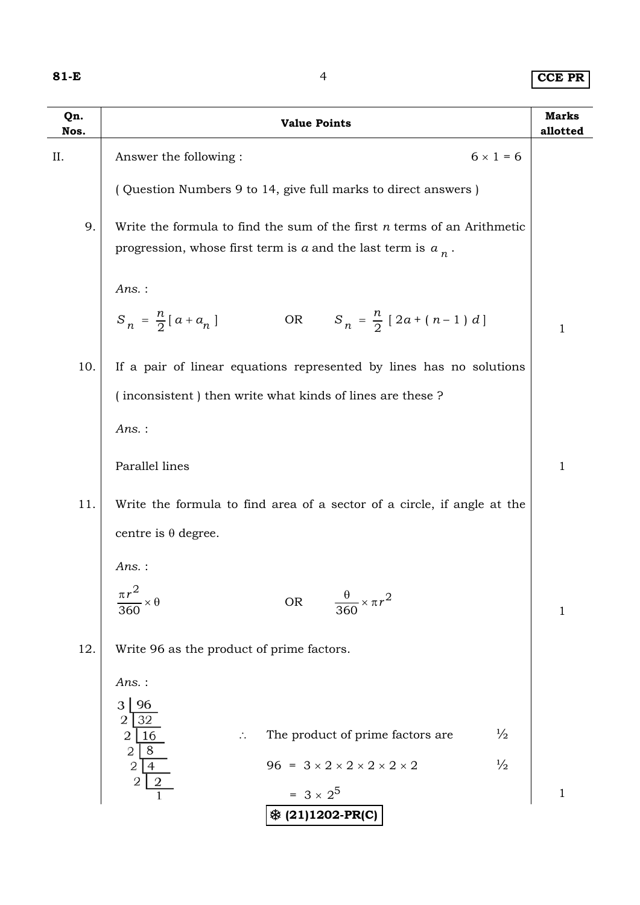**81-E** 4 **CCE PR**

| $6 \times 1 = 6$<br>ΙΙ.<br>Answer the following:<br>(Question Numbers 9 to 14, give full marks to direct answers)<br>9.<br>Write the formula to find the sum of the first $n$ terms of an Arithmetic<br>progression, whose first term is $a$ and the last term is $a_n$ .<br>Ans.:<br>$S_n = \frac{n}{2} [a + a_n]$<br>OR $S_n = \frac{n}{2} [2a + (n-1) d]$<br>10.<br>If a pair of linear equations represented by lines has no solutions<br>(inconsistent) then write what kinds of lines are these?<br>$Ans.$ :<br>Parallel lines<br>11.<br>Write the formula to find area of a sector of a circle, if angle at the<br>centre is $\theta$ degree.<br>Ans.:<br>$\frac{\pi r^2}{2}$<br>$\frac{\theta}{360} \times \pi r^2$<br>${\sf OR}$<br>360<br>12.<br>Write 96 as the product of prime factors.<br>Ans.:<br>3 <br>$\overline{2}$ | <b>Marks</b><br>allotted | <b>Value Points</b>                                          | Qn.<br>Nos. |
|---------------------------------------------------------------------------------------------------------------------------------------------------------------------------------------------------------------------------------------------------------------------------------------------------------------------------------------------------------------------------------------------------------------------------------------------------------------------------------------------------------------------------------------------------------------------------------------------------------------------------------------------------------------------------------------------------------------------------------------------------------------------------------------------------------------------------------------|--------------------------|--------------------------------------------------------------|-------------|
|                                                                                                                                                                                                                                                                                                                                                                                                                                                                                                                                                                                                                                                                                                                                                                                                                                       |                          |                                                              |             |
|                                                                                                                                                                                                                                                                                                                                                                                                                                                                                                                                                                                                                                                                                                                                                                                                                                       |                          |                                                              |             |
|                                                                                                                                                                                                                                                                                                                                                                                                                                                                                                                                                                                                                                                                                                                                                                                                                                       |                          |                                                              |             |
|                                                                                                                                                                                                                                                                                                                                                                                                                                                                                                                                                                                                                                                                                                                                                                                                                                       |                          |                                                              |             |
|                                                                                                                                                                                                                                                                                                                                                                                                                                                                                                                                                                                                                                                                                                                                                                                                                                       | 1                        |                                                              |             |
|                                                                                                                                                                                                                                                                                                                                                                                                                                                                                                                                                                                                                                                                                                                                                                                                                                       |                          |                                                              |             |
|                                                                                                                                                                                                                                                                                                                                                                                                                                                                                                                                                                                                                                                                                                                                                                                                                                       |                          |                                                              |             |
|                                                                                                                                                                                                                                                                                                                                                                                                                                                                                                                                                                                                                                                                                                                                                                                                                                       |                          |                                                              |             |
|                                                                                                                                                                                                                                                                                                                                                                                                                                                                                                                                                                                                                                                                                                                                                                                                                                       | 1                        |                                                              |             |
|                                                                                                                                                                                                                                                                                                                                                                                                                                                                                                                                                                                                                                                                                                                                                                                                                                       |                          |                                                              |             |
|                                                                                                                                                                                                                                                                                                                                                                                                                                                                                                                                                                                                                                                                                                                                                                                                                                       |                          |                                                              |             |
|                                                                                                                                                                                                                                                                                                                                                                                                                                                                                                                                                                                                                                                                                                                                                                                                                                       |                          |                                                              |             |
|                                                                                                                                                                                                                                                                                                                                                                                                                                                                                                                                                                                                                                                                                                                                                                                                                                       | 1                        |                                                              |             |
|                                                                                                                                                                                                                                                                                                                                                                                                                                                                                                                                                                                                                                                                                                                                                                                                                                       |                          |                                                              |             |
|                                                                                                                                                                                                                                                                                                                                                                                                                                                                                                                                                                                                                                                                                                                                                                                                                                       |                          |                                                              |             |
|                                                                                                                                                                                                                                                                                                                                                                                                                                                                                                                                                                                                                                                                                                                                                                                                                                       |                          | $\frac{1}{2}$<br>The product of prime factors are<br>2<br>16 |             |
| $\frac{2}{2}$ $\sqrt{\frac{8}{4}}$<br>$96 = 3 \times 2 \times 2 \times 2 \times 2 \times 2$<br>$\frac{1}{2}$                                                                                                                                                                                                                                                                                                                                                                                                                                                                                                                                                                                                                                                                                                                          |                          |                                                              |             |
| $= 3 \times 2^{5}$<br>※ (21)1202-PR(C)                                                                                                                                                                                                                                                                                                                                                                                                                                                                                                                                                                                                                                                                                                                                                                                                | $\mathbf{1}$             |                                                              |             |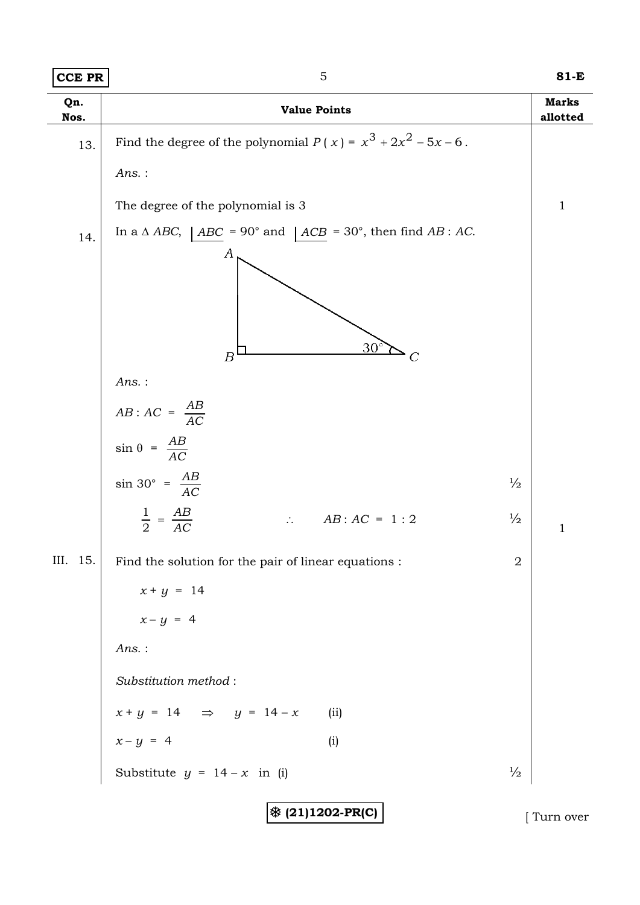|--|

| <b>CCE PR</b> | $\mathbf 5$                                                                                                                             |                | 81-E                     |
|---------------|-----------------------------------------------------------------------------------------------------------------------------------------|----------------|--------------------------|
| Qn.<br>Nos.   | <b>Value Points</b>                                                                                                                     |                | <b>Marks</b><br>allotted |
| 13.           | Find the degree of the polynomial $P(x) = x^3 + 2x^2 - 5x - 6$ .                                                                        |                |                          |
|               | Ans.:                                                                                                                                   |                |                          |
|               | The degree of the polynomial is 3                                                                                                       |                | $\mathbf 1$              |
| 14.           | In a $\triangle ABC$ , $\angle ABC = 90^{\circ}$ and $\angle ACB = 30^{\circ}$ , then find AB : AC.<br>$\boldsymbol{A}$<br>$30^{\circ}$ |                |                          |
|               | $\overline{B}$<br>C                                                                                                                     |                |                          |
|               | Ans.:<br>$AB:AC = \frac{AB}{AC}$                                                                                                        |                |                          |
|               | $\sin \theta = \frac{AB}{AC}$                                                                                                           |                |                          |
|               | $\sin 30^{\circ} = \frac{AB}{AC}$                                                                                                       | $\frac{1}{2}$  |                          |
|               | $\frac{1}{2} = \frac{AB}{AC}$<br>$AB:AC = 1:2$<br>$\mathcal{L}_{\mathcal{C}}$                                                           | $\frac{1}{2}$  | $\mathbf{1}$             |
| III. 15.      | Find the solution for the pair of linear equations :                                                                                    | $\overline{2}$ |                          |
|               | $x + y = 14$                                                                                                                            |                |                          |
|               | $x-y = 4$                                                                                                                               |                |                          |
|               | Ans.:                                                                                                                                   |                |                          |
|               | Substitution method:                                                                                                                    |                |                          |
|               | $x + y = 14$ $\Rightarrow$ $y = 14 - x$<br>(ii)                                                                                         |                |                          |
|               | (i)<br>$x-y = 4$                                                                                                                        |                |                          |
|               | Substitute $y = 14 - x$ in (i)                                                                                                          | $\frac{1}{2}$  |                          |

7 **(21)1202-PR(C)** [ Turn over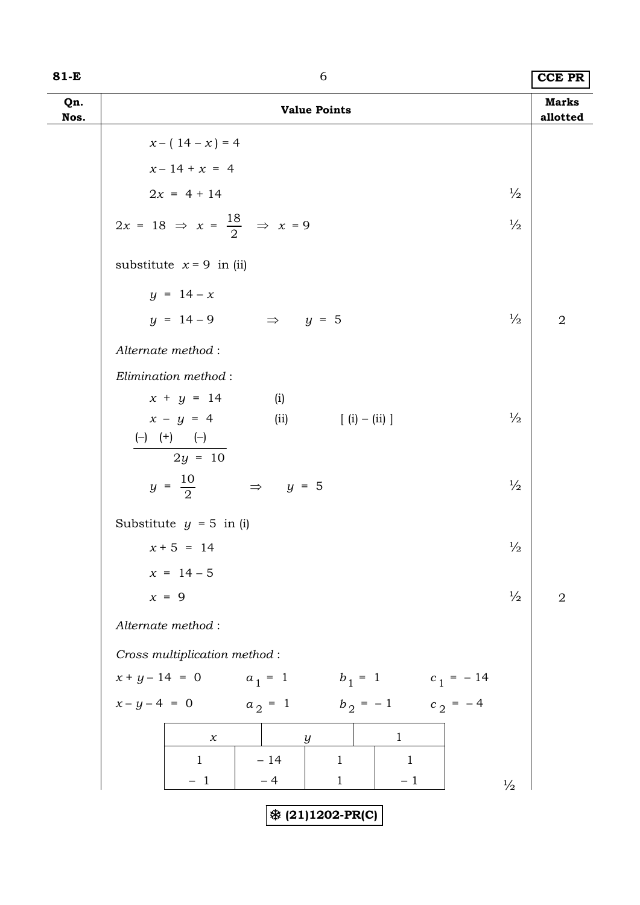| $81-E$      | 6                                                                                                                                                                                                             |               | <b>CCE PR</b>            |
|-------------|---------------------------------------------------------------------------------------------------------------------------------------------------------------------------------------------------------------|---------------|--------------------------|
| Qn.<br>Nos. | <b>Value Points</b>                                                                                                                                                                                           |               | <b>Marks</b><br>allotted |
|             | $x - (14 - x) = 4$                                                                                                                                                                                            |               |                          |
|             | $x - 14 + x = 4$                                                                                                                                                                                              |               |                          |
|             | $2x = 4 + 14$                                                                                                                                                                                                 | $\frac{1}{2}$ |                          |
|             | $2x = 18 \Rightarrow x = \frac{18}{2} \Rightarrow x = 9$                                                                                                                                                      | $\frac{1}{2}$ |                          |
|             | substitute $x = 9$ in (ii)                                                                                                                                                                                    |               |                          |
|             | $y = 14 - x$                                                                                                                                                                                                  |               |                          |
|             | $y = 14 - 9$<br>$\Rightarrow$ y = 5                                                                                                                                                                           | $\frac{1}{2}$ | $\overline{2}$           |
|             | Alternate method:                                                                                                                                                                                             |               |                          |
|             | Elimination method:                                                                                                                                                                                           |               |                          |
|             | $x + y = 14$<br>(i)                                                                                                                                                                                           |               |                          |
|             | $x - y = 4$<br>$[ (i) - (ii) ]$<br>(ii)<br>$\left( \begin{matrix} - \end{matrix} \right) \quad \left( \begin{matrix} + \end{matrix} \right) \qquad \left( \begin{matrix} - \end{matrix} \right)$<br>$2y = 10$ | $\frac{1}{2}$ |                          |
|             | $y = \frac{10}{2}$<br>$\Rightarrow$ y = 5                                                                                                                                                                     | $\frac{1}{2}$ |                          |
|             | Substitute $y = 5$ in (i)                                                                                                                                                                                     |               |                          |
|             | $x + 5 = 14$                                                                                                                                                                                                  | $\frac{1}{2}$ |                          |
|             | $x = 14 - 5$                                                                                                                                                                                                  |               |                          |
|             | $x = 9$                                                                                                                                                                                                       | $\frac{1}{2}$ | $\sqrt{2}$               |
|             | Alternate method:                                                                                                                                                                                             |               |                          |
|             | Cross multiplication method:                                                                                                                                                                                  |               |                          |
|             | $x + y - 14 = 0$ $a_1 = 1$ $b_1 = 1$ $c_1 = -14$                                                                                                                                                              |               |                          |
|             | $x-y-4 = 0$ $a_2 = 1$ $b_2 = -1$ $c_2 = -4$                                                                                                                                                                   |               |                          |
|             | $\mathbf{1}$<br>$\boldsymbol{\chi}$<br>$\boldsymbol{y}$                                                                                                                                                       |               |                          |
|             | $-14$<br>$\mathbf{1}$<br>$\mathbf{1}$<br>$\mathbf{1}$                                                                                                                                                         |               |                          |
|             | $-1$<br>$-4$<br>$\mathbf{1}$<br>$-1$                                                                                                                                                                          | $\frac{1}{2}$ |                          |
|             | ※ (21)1202-PR(C)                                                                                                                                                                                              |               |                          |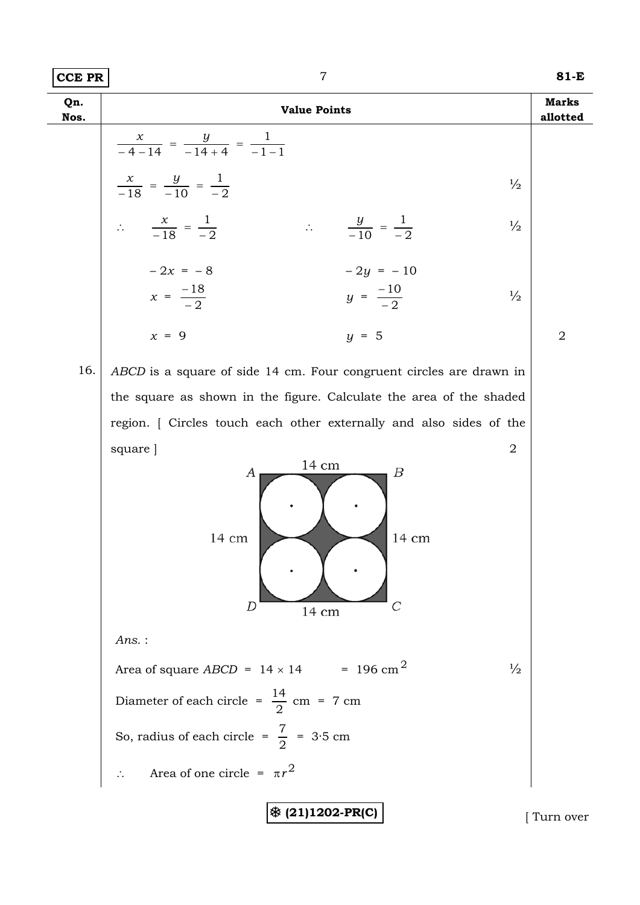| <b>CCE PR</b> | $\overline{7}$                                                                                          | $81-E$                   |
|---------------|---------------------------------------------------------------------------------------------------------|--------------------------|
| Qn.<br>Nos.   | <b>Value Points</b>                                                                                     | <b>Marks</b><br>allotted |
|               | $\frac{x}{-4-14} = \frac{y}{-14+4} = \frac{1}{-1-1}$                                                    |                          |
|               | $\frac{x}{-18} = \frac{y}{-10} = \frac{1}{-2}$<br>$\frac{1}{2}$                                         |                          |
|               | $\therefore \frac{x}{-18} = \frac{1}{-2}$<br>$\therefore \frac{y}{-10} = \frac{1}{-2}$<br>$\frac{1}{2}$ |                          |
|               | $-2x = -8$<br>$-2y = -10$<br>$x = \frac{-18}{-2}$<br>$y = \frac{-10}{-2}$<br>$\frac{1}{2}$              |                          |
|               | $x = 9$<br>$y = 5$                                                                                      | $\overline{2}$           |
| 16.           | ABCD is a square of side 14 cm. Four congruent circles are drawn in                                     |                          |
|               | the square as shown in the figure. Calculate the area of the shaded                                     |                          |
|               | region. [ Circles touch each other externally and also sides of the                                     |                          |
|               | square ]<br>2                                                                                           |                          |
|               | 14 cm<br>Β<br>А<br>14 cm<br>14 cm<br>D<br>14 cm                                                         |                          |
|               | $Ans.$ :                                                                                                |                          |
|               | Area of square ABCD = $14 \times 14$ = 196 cm <sup>2</sup><br>$\frac{1}{2}$                             |                          |
|               | Diameter of each circle = $\frac{14}{2}$ cm = 7 cm                                                      |                          |
|               | So, radius of each circle = $\frac{7}{2}$ = 3.5 cm                                                      |                          |
|               | Area of one circle = $\pi r^2$                                                                          |                          |
|               | ※ (21)1202-PR(C)                                                                                        | Turn over                |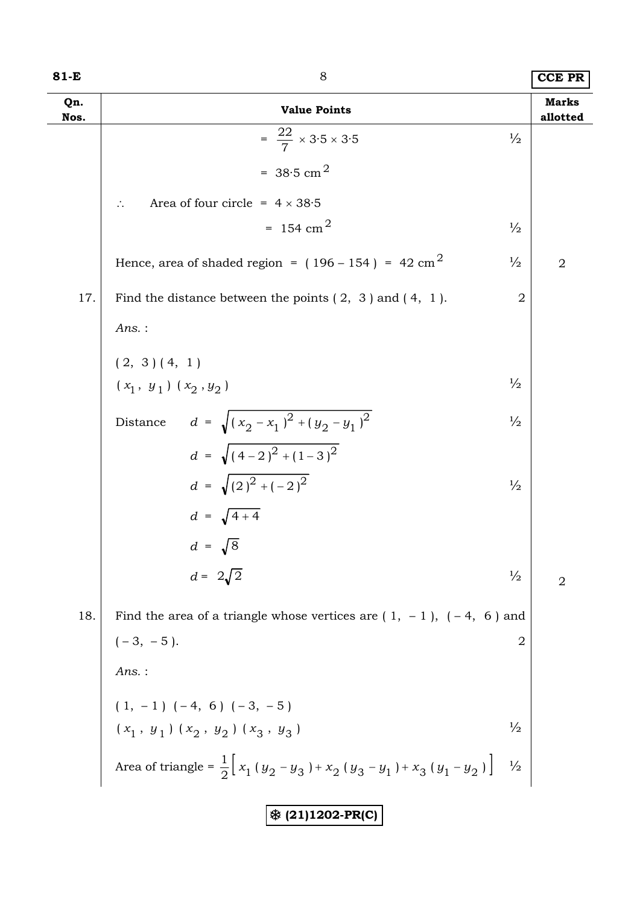| 81-E        | 8                                                                                                  |                | <b>CCE PR</b>            |
|-------------|----------------------------------------------------------------------------------------------------|----------------|--------------------------|
| Qn.<br>Nos. | <b>Value Points</b>                                                                                |                | <b>Marks</b><br>allotted |
|             | $=\frac{22}{7} \times 3.5 \times 3.5$                                                              | $\frac{1}{2}$  |                          |
|             | = $38.5 \text{ cm}^2$                                                                              |                |                          |
|             | Area of four circle = $4 \times 38.5$                                                              |                |                          |
|             | $= 154$ cm <sup>2</sup>                                                                            | $\frac{1}{2}$  |                          |
|             | Hence, area of shaded region = $(196 - 154)$ = 42 cm <sup>2</sup>                                  | $\frac{1}{2}$  | $\overline{2}$           |
| 17.         | Find the distance between the points $(2, 3)$ and $(4, 1)$ .                                       | $\overline{2}$ |                          |
|             | Ans.:                                                                                              |                |                          |
|             | (2, 3) (4, 1)                                                                                      |                |                          |
|             | $(x_1, y_1) (x_2, y_2)$                                                                            | $\frac{1}{2}$  |                          |
|             | $d = \sqrt{(x_2 - x_1)^2 + (y_2 - y_1)^2}$<br>Distance                                             | $\frac{1}{2}$  |                          |
|             | $d = \sqrt{(4-2)^2 + (1-3)^2}$                                                                     |                |                          |
|             | $d = \sqrt{(2)^2 + (-2)^2}$                                                                        | $\frac{1}{2}$  |                          |
|             | $d = \sqrt{4+4}$                                                                                   |                |                          |
|             | $d = \sqrt{8}$                                                                                     |                |                          |
|             | $d = 2\sqrt{2}$                                                                                    | $\frac{1}{2}$  | 2                        |
| 18.         | Find the area of a triangle whose vertices are $(1, -1)$ , $(-4, 6)$ and                           |                |                          |
|             | $(-3, -5).$<br><i>Ans.</i> :                                                                       | $\overline{2}$ |                          |
|             |                                                                                                    |                |                          |
|             |                                                                                                    |                |                          |
|             | $(1, -1)$ $(-4, 6)$ $(-3, -5)$<br>$(x_1, y_1)$ $(x_2, y_2)$ $(x_3, y_3)$                           | $\frac{1}{2}$  |                          |
|             | Area of triangle = $\frac{1}{2}\Bigl[\,x_1\,(y_2-y_3\,)+x_2\,(y_3-y_1\,)+x_3\,(y_1-y_2\,)\,\Bigr]$ | $\frac{1}{2}$  |                          |
|             |                                                                                                    |                |                          |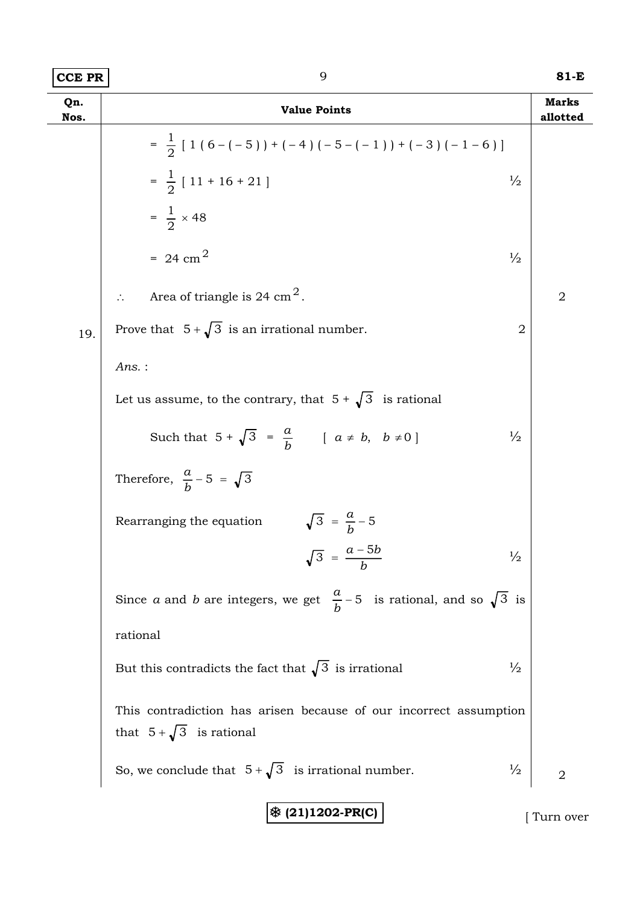| $ {\tt CCE}$ PR $ $ | 81-E |
|---------------------|------|
|---------------------|------|

| Qn.<br>Nos. | <b>Value Points</b>                                                                                  | <b>Marks</b><br>allotted |
|-------------|------------------------------------------------------------------------------------------------------|--------------------------|
|             | $=\frac{1}{2}$ [ 1 ( 6 – (-5)) + (-4) (-5 – (-1)) + (-3) (-1-6)]                                     |                          |
|             | $=\frac{1}{2}$ [ 11 + 16 + 21 ]<br>$\frac{1}{2}$                                                     |                          |
|             | $=\frac{1}{2} \times 48$                                                                             |                          |
|             | $= 24$ cm <sup>2</sup><br>$\frac{1}{2}$                                                              |                          |
|             | Area of triangle is 24 cm <sup>2</sup> .                                                             | $\overline{2}$           |
| 19.         | Prove that $5 + \sqrt{3}$ is an irrational number.<br>$\overline{2}$                                 |                          |
|             | $Ans.$ :                                                                                             |                          |
|             | Let us assume, to the contrary, that $5 + \sqrt{3}$ is rational                                      |                          |
|             | Such that $5 + \sqrt{3} = \frac{a}{b}$ $[a \neq b, b \neq 0]$<br>$\frac{1}{2}$                       |                          |
|             | Therefore, $\frac{a}{b}$ – 5 = $\sqrt{3}$                                                            |                          |
|             | $\sqrt{3} = \frac{a}{b} - 5$<br>Rearranging the equation                                             |                          |
|             | $\sqrt{3} = \frac{a - 5b}{b}$<br>$\frac{1}{2}$                                                       |                          |
|             | Since <i>a</i> and <i>b</i> are integers, we get $\frac{a}{b}$ – 5 is rational, and so $\sqrt{3}$ is |                          |
|             | rational                                                                                             |                          |
|             | But this contradicts the fact that $\sqrt{3}$ is irrational<br>$\frac{1}{2}$                         |                          |
|             | This contradiction has arisen because of our incorrect assumption<br>that $5+\sqrt{3}$ is rational   |                          |
|             | So, we conclude that $5+\sqrt{3}$ is irrational number.<br>$\frac{1}{2}$                             | $\overline{2}$           |

7 **(21)1202-PR(C)** [ Turn over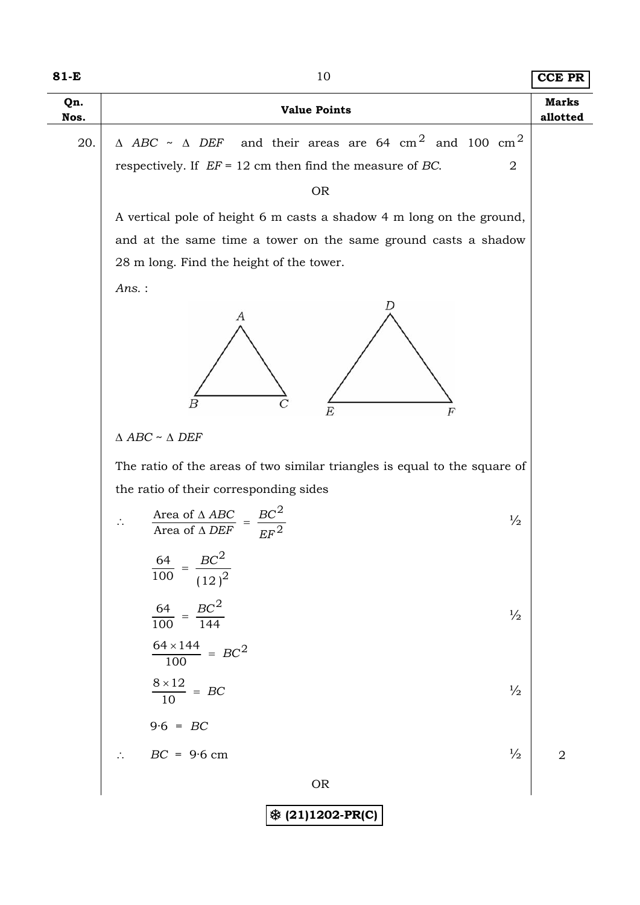| 81-E        | 10                                                                                                                                                                  | <b>CCE PR</b>  |  |  |
|-------------|---------------------------------------------------------------------------------------------------------------------------------------------------------------------|----------------|--|--|
| Qn.<br>Nos. | <b>Value Points</b>                                                                                                                                                 |                |  |  |
| 20.         | $\triangle$ ABC ~ $\triangle$ DEF and their areas are 64 cm <sup>2</sup> and 100 cm <sup>2</sup><br>respectively. If $EF = 12$ cm then find the measure of BC.<br>2 |                |  |  |
|             | <b>OR</b><br>A vertical pole of height 6 m casts a shadow 4 m long on the ground,                                                                                   |                |  |  |
|             |                                                                                                                                                                     |                |  |  |
|             | and at the same time a tower on the same ground casts a shadow                                                                                                      |                |  |  |
|             | 28 m long. Find the height of the tower.                                                                                                                            |                |  |  |
|             | Ans.:<br>А<br>$\boldsymbol{B}$<br>F<br>$\triangle$ ABC ~ $\triangle$ DEF                                                                                            |                |  |  |
|             | The ratio of the areas of two similar triangles is equal to the square of                                                                                           |                |  |  |
|             | the ratio of their corresponding sides                                                                                                                              |                |  |  |
|             | $=\frac{BC^2}{EF^2}$<br>$\frac{\text{Area of } \Delta \text{ ABC}}{\text{Area of } \Delta \text{ DEF}}$<br>$\frac{1}{2}$<br>$\ddot{\cdot}$                          |                |  |  |
|             | $\frac{BC^{2}}{(12)^{2}}$<br>$\frac{64}{100}$                                                                                                                       |                |  |  |
|             | $=\frac{BC^2}{144}$<br>$\frac{64}{100}$<br>$\frac{1}{2}$                                                                                                            |                |  |  |
|             | $\frac{64 \times 144}{100}$ = BC <sup>2</sup>                                                                                                                       |                |  |  |
|             | $\frac{8\times12}{10} = BC$<br>$\frac{1}{2}$                                                                                                                        |                |  |  |
|             | $9.6 = BC$                                                                                                                                                          |                |  |  |
|             | $\frac{1}{2}$<br>$BC = 9.6 cm$                                                                                                                                      | $\overline{2}$ |  |  |
|             | <b>OR</b>                                                                                                                                                           |                |  |  |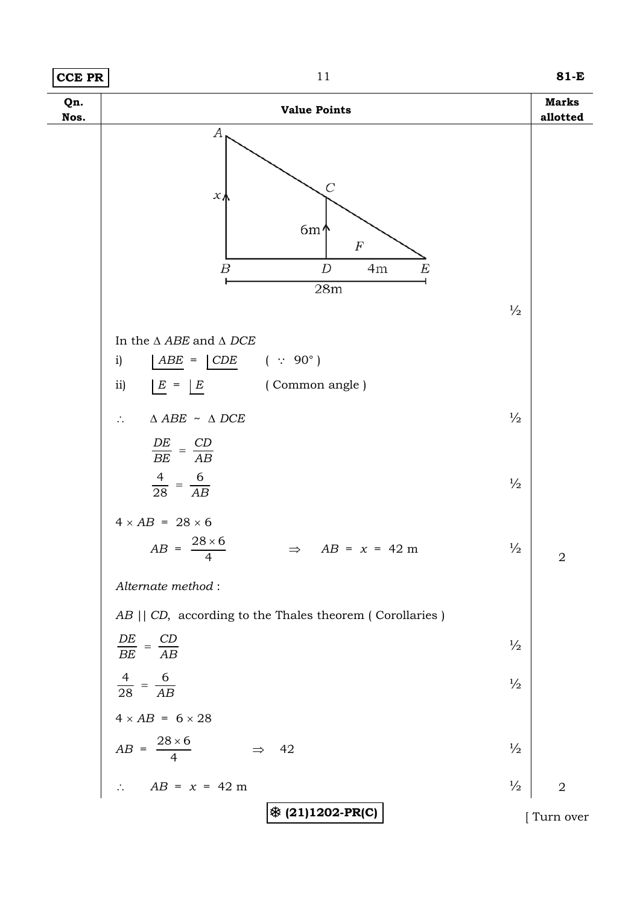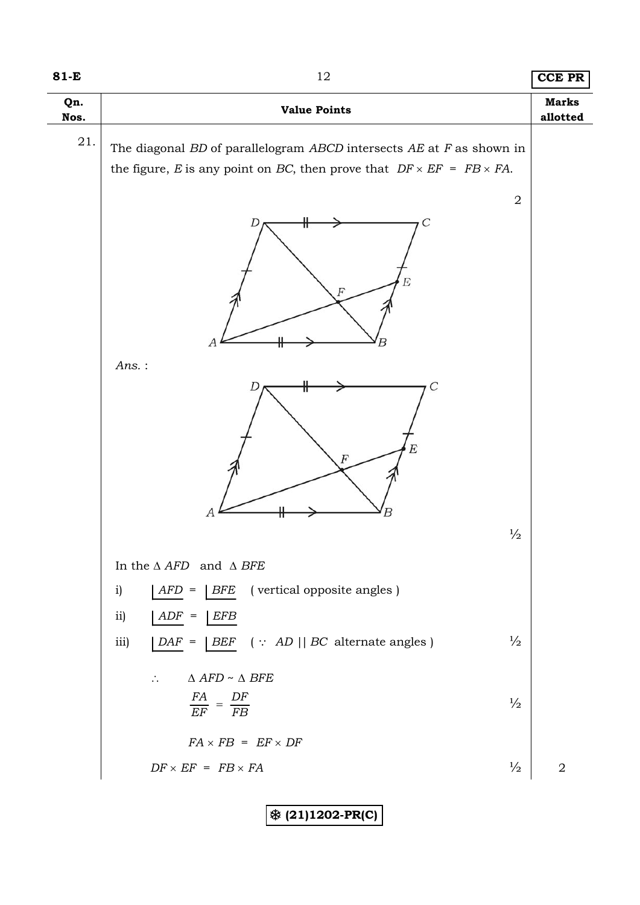### **81-E** 12 **CCE PR**

| Qn.<br>Nos. | <b>Value Points</b>                                                                             | <b>Marks</b><br>allotted |
|-------------|-------------------------------------------------------------------------------------------------|--------------------------|
| $21. \,$    | The diagonal $BD$ of parallelogram $ABCD$ intersects $AE$ at $F$ as shown in                    |                          |
|             | the figure, E is any point on BC, then prove that $DF \times EF = FB \times FA$ .               |                          |
|             | $\sqrt{2}$                                                                                      |                          |
|             | D<br>F,<br>F<br>A                                                                               |                          |
|             | $Ans.$ :                                                                                        |                          |
|             | $\overline{C}$<br>E<br>F<br>$\boldsymbol{A}$<br>В                                               |                          |
|             | $\frac{1}{2}$                                                                                   |                          |
|             | In the $\triangle$ AFD and $\triangle$ BFE                                                      |                          |
|             | (vertical opposite angles)<br>$AFD =$<br>i)<br>$\mid$ $BFE$                                     |                          |
|             | $\overline{11}$<br>$ADF =$<br><b>EFB</b>                                                        |                          |
|             | $\frac{1}{2}$<br>iii)<br> BEF (:: AD    BC alternate angles)<br>$DAF =$                         |                          |
|             | $\Delta$ AFD ~ $\Delta$ BFE<br>$\therefore$<br>$\frac{FA}{EF} = \frac{DF}{FB}$<br>$\frac{1}{2}$ |                          |
|             | $FA \times FB = EF \times DF$                                                                   |                          |
|             | $DF \times EF = FB \times FA$<br>$\frac{1}{2}$                                                  | $\sqrt{2}$               |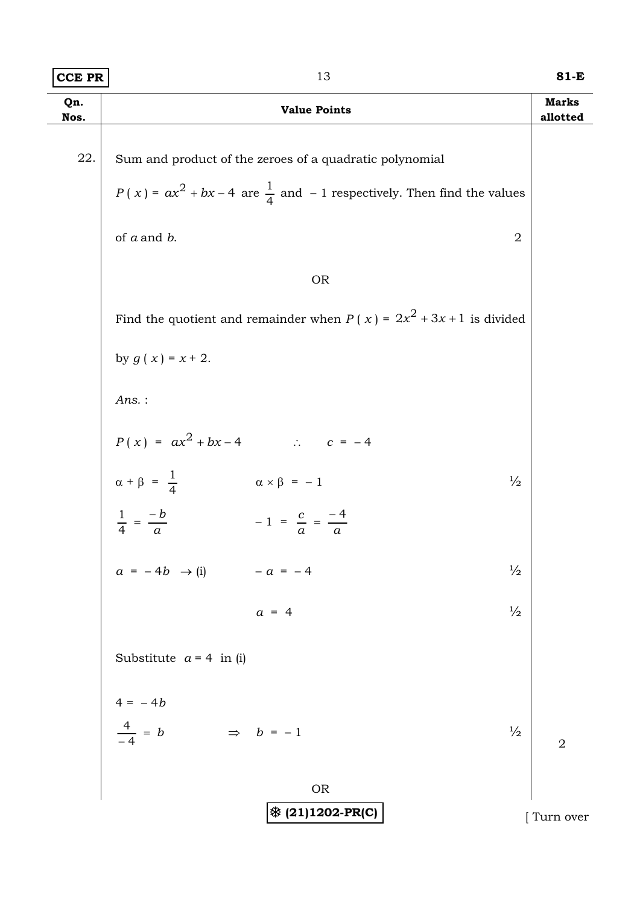| <b>CCE PR</b> | 13                                                                                     | 81-E                     |
|---------------|----------------------------------------------------------------------------------------|--------------------------|
| Qn.<br>Nos.   | <b>Value Points</b>                                                                    | <b>Marks</b><br>allotted |
|               |                                                                                        |                          |
| 22.           | Sum and product of the zeroes of a quadratic polynomial                                |                          |
|               | $P(x) = ax^{2} + bx - 4$ are $\frac{1}{4}$ and $-1$ respectively. Then find the values |                          |
|               | of $a$ and $b$ .<br>$\overline{2}$                                                     |                          |
|               | <b>OR</b>                                                                              |                          |
|               | Find the quotient and remainder when $P(x) = 2x^2 + 3x + 1$ is divided                 |                          |
|               | by $g(x) = x + 2$ .                                                                    |                          |
|               | $Ans.$ :                                                                               |                          |
|               | $P(x) = ax^{2} + bx - 4$ . $c = -4$                                                    |                          |
|               | $\alpha + \beta = \frac{1}{4}$<br>$\alpha \times \beta = -1$<br>$\frac{1}{2}$          |                          |
|               | $\frac{1}{4} = \frac{-b}{a}$<br>$-1 = \frac{c}{a} = \frac{-4}{a}$                      |                          |
|               | $a = -4b \rightarrow (i)$<br>$\frac{1}{2}$<br>$- a = - 4$                              |                          |
|               | $\frac{1}{2}$<br>$a = 4$                                                               |                          |
|               | Substitute $a = 4$ in (i)                                                              |                          |
|               |                                                                                        |                          |
|               | $4 = -4b$<br>$\frac{4}{-4} = b$<br>$\Rightarrow$ $b = -1$<br>$\frac{1}{2}$             | $\overline{a}$           |
|               | <b>OR</b>                                                                              |                          |
|               | ※ (21)1202-PR(C)                                                                       | Turn over                |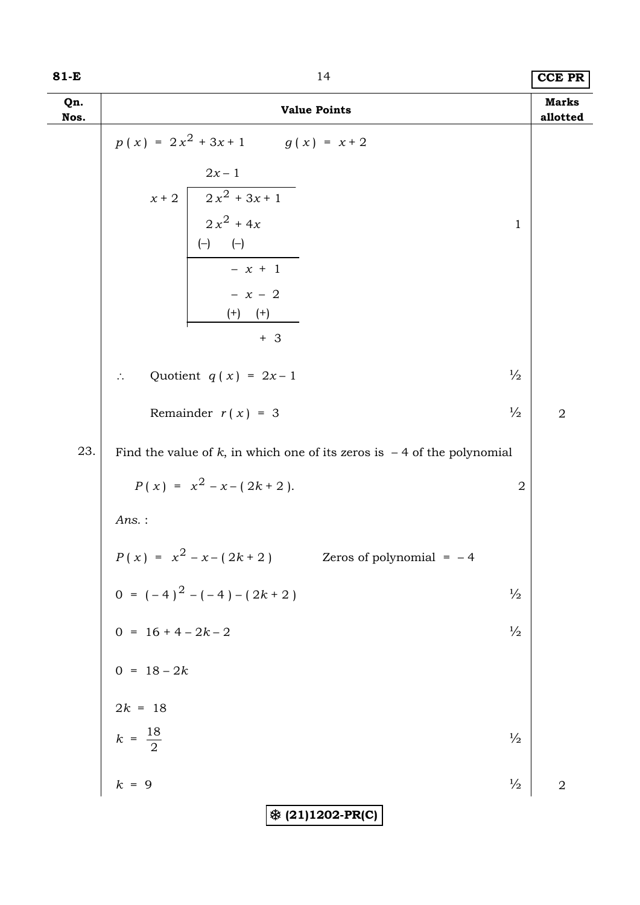| 81-E        | 14                                                                                                                                                                     |               | <b>CCE PR</b>            |
|-------------|------------------------------------------------------------------------------------------------------------------------------------------------------------------------|---------------|--------------------------|
| Qn.<br>Nos. | <b>Value Points</b>                                                                                                                                                    |               | <b>Marks</b><br>allotted |
|             | $p(x) = 2x^{2} + 3x + 1$ $q(x) = x + 2$<br>$2x-1$<br>$x + 2$ $2x^2 + 3x + 1$<br>$2x^2 + 4x$<br>(-) (-)<br>$\overline{\qquad -x+1}$<br>$- x - 2$<br>$(+)$ $(+)$<br>$+3$ | $\mathbf 1$   |                          |
|             | Quotient $q(x) = 2x-1$<br>$\therefore$                                                                                                                                 | $\frac{1}{2}$ |                          |
|             | Remainder $r(x) = 3$                                                                                                                                                   | $\frac{1}{2}$ | $\overline{2}$           |
| 23.         | Find the value of $k$ , in which one of its zeros is $-4$ of the polynomial                                                                                            |               |                          |
|             | $P(x) = x^{2} - x - (2k + 2).$                                                                                                                                         | $\sqrt{2}$    |                          |
|             | Ans.:                                                                                                                                                                  |               |                          |
|             | $P(x) = x^{2} - x - (2k + 2)$<br>Zeros of polynomial $=$ -4                                                                                                            |               |                          |
|             |                                                                                                                                                                        | $\frac{1}{2}$ |                          |
|             |                                                                                                                                                                        | $\frac{1}{2}$ |                          |
|             |                                                                                                                                                                        |               |                          |
|             |                                                                                                                                                                        |               |                          |
|             | $0 = (-4)^2 - (-4) - (2k + 2)$<br>$0 = 16 + 4 - 2k - 2$<br>$0 = 18 - 2k$<br>$2k = 18$<br>$k = \frac{18}{2}$<br>$k = 9$                                                 | $\frac{1}{2}$ |                          |
|             | $k = 9$                                                                                                                                                                | $\frac{1}{2}$ | $\overline{2}$           |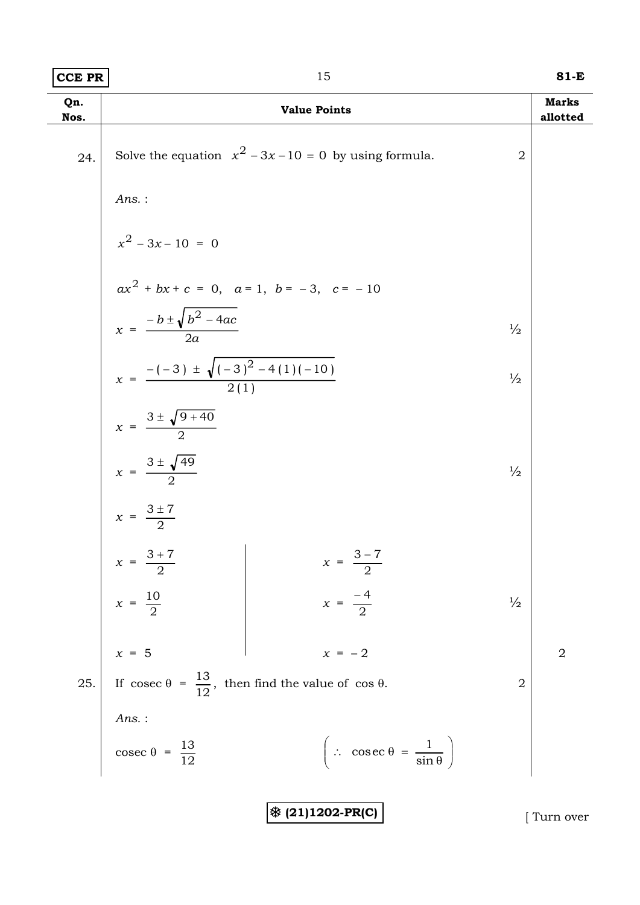| $ CCE$ PR | . . | 81-E |
|-----------|-----|------|
|           |     |      |

| Qn.<br>Nos. |                                                        | <b>Value Points</b>                                           |                | <b>Marks</b><br>allotted |
|-------------|--------------------------------------------------------|---------------------------------------------------------------|----------------|--------------------------|
| 24.         |                                                        | Solve the equation $x^2 - 3x - 10 = 0$ by using formula.      | $\overline{2}$ |                          |
|             | $Ans.$ :                                               |                                                               |                |                          |
|             | $x^2 - 3x - 10 = 0$                                    |                                                               |                |                          |
|             |                                                        | $ax^{2} + bx + c = 0$ , $a = 1$ , $b = -3$ , $c = -10$        |                |                          |
|             | $x = \frac{-b \pm \sqrt{b^2 - 4ac}}{2a}$               |                                                               | $\frac{1}{2}$  |                          |
|             | $x = \frac{-(-3) \pm \sqrt{(-3)^2 - 4(1)(-10)}}{2(1)}$ |                                                               | $\frac{1}{2}$  |                          |
|             | $x = \frac{3 \pm \sqrt{9 + 40}}{2}$                    |                                                               |                |                          |
|             | $x = \frac{3 \pm \sqrt{49}}{2}$                        |                                                               | $\frac{1}{2}$  |                          |
|             | $x = \frac{3 \pm 7}{2}$<br>$x = \frac{3 + 7}{2}$       |                                                               |                |                          |
|             |                                                        | $x = \frac{3-7}{1}$                                           |                |                          |
|             |                                                        |                                                               | $\frac{1}{2}$  |                          |
|             |                                                        |                                                               |                | $\overline{2}$           |
|             |                                                        |                                                               | $\overline{2}$ |                          |
|             |                                                        |                                                               |                |                          |
|             | Ans. :<br>$\csc \theta = \frac{13}{12}$                | $\left(\therefore \csc \theta = \frac{1}{\sin \theta}\right)$ |                |                          |

7 **(21)1202-PR(C)** [ Turn over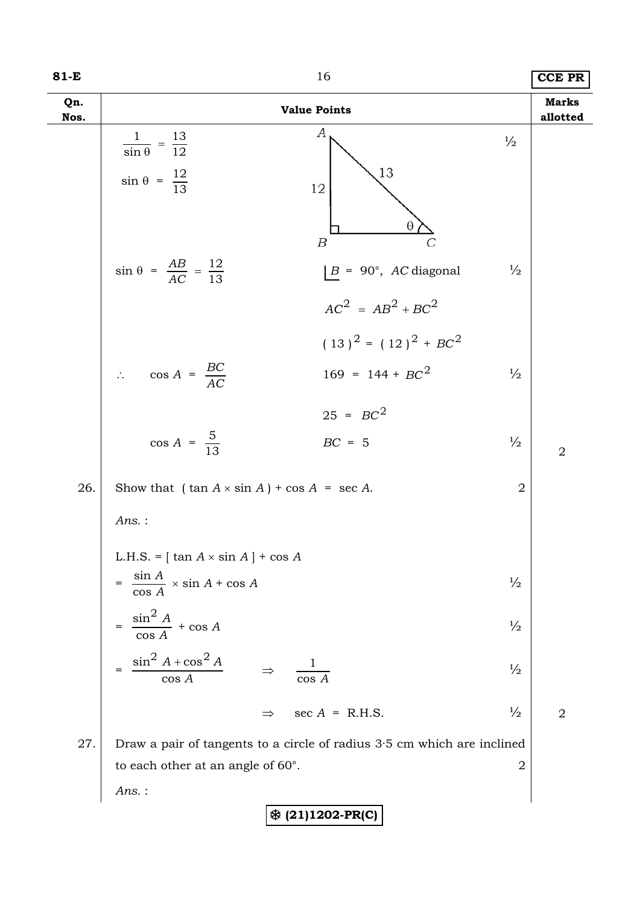| I<br>×<br>۰. |  |  |
|--------------|--|--|
|--------------|--|--|

| 81-E        | 16                                                                                                                                                                                     |                          |  |
|-------------|----------------------------------------------------------------------------------------------------------------------------------------------------------------------------------------|--------------------------|--|
| Qn.<br>Nos. | <b>Value Points</b>                                                                                                                                                                    | <b>Marks</b><br>allotted |  |
|             | А<br>$\frac{1}{\sin \theta} = \frac{13}{12}$<br>$\frac{1}{2}$<br>13<br>$\sin \theta = \frac{12}{13}$<br>12                                                                             |                          |  |
|             | θ<br>$\boldsymbol{B}$<br>$\sin \theta = \frac{AB}{AC} = \frac{12}{13}$<br>$ B = 90^{\circ}, AC diagonal$<br>$\frac{1}{2}$<br>$AC^2 = AB^2 + BC^2$                                      |                          |  |
|             | $(13)^{2} = (12)^{2} + BC^{2}$<br>$\therefore \quad \cos A = \frac{BC}{AC}$<br>$169 = 144 + BC^2$<br>$\frac{1}{2}$                                                                     |                          |  |
|             | $25 = BC^2$<br>$\cos A = \frac{5}{13}$<br>$BC = 5$<br>$\frac{1}{2}$                                                                                                                    | $\overline{2}$           |  |
| 26.         | Show that $(\tan A \times \sin A) + \cos A = \sec A$ .<br>$\sqrt{2}$<br>$Ans.$ :                                                                                                       |                          |  |
|             | L.H.S. = $\left[ \tan A \times \sin A \right]$ + cos A<br>$= \frac{\sin A}{\cos A} \times \sin A + \cos A$<br>$\frac{1}{2}$<br>$=$ $\frac{\sin^2 A}{\cos A} + \cos A$<br>$\frac{1}{2}$ |                          |  |
|             | $\frac{\sin^2 A + \cos^2 A}{\cos A}$<br>$\frac{1}{2}$<br>$\overline{\cos A}$                                                                                                           |                          |  |
|             | sec $A = R.H.S.$<br>$\frac{1}{2}$<br>$\Rightarrow$                                                                                                                                     | $\sqrt{2}$               |  |
| 27.         | Draw a pair of tangents to a circle of radius $3.5$ cm which are inclined<br>to each other at an angle of $60^\circ$ .<br>$\overline{2}$<br>Ans.:                                      |                          |  |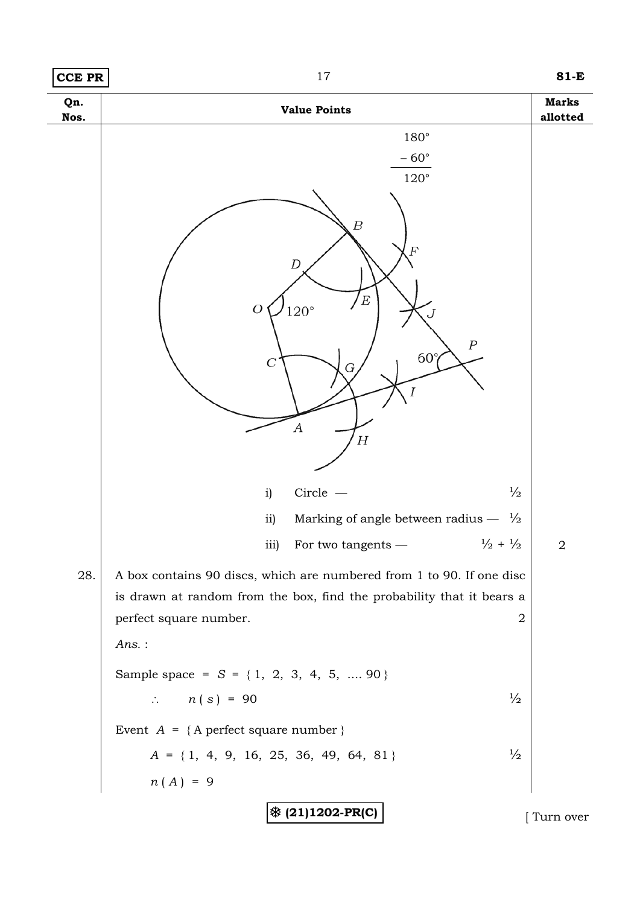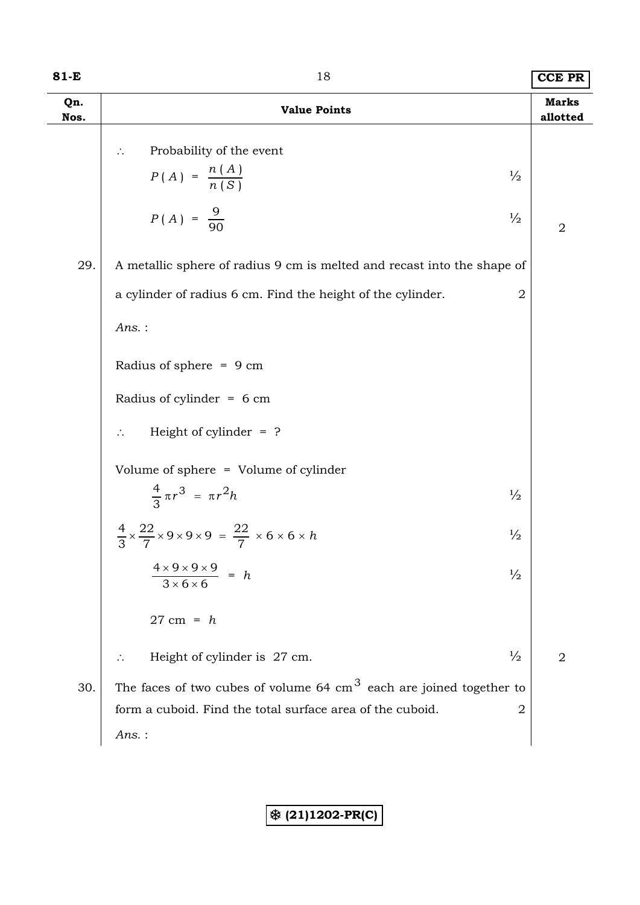### **81-E** 18 **CCE PR**

| Qn.<br>Nos. | <b>Value Points</b>                                                                                                     | <b>Marks</b><br>allotted |
|-------------|-------------------------------------------------------------------------------------------------------------------------|--------------------------|
|             | Probability of the event<br>$\therefore$<br>$P(A) = \frac{n(A)}{n(S)}$<br>$\frac{1}{2}$                                 |                          |
|             | $P(A) = \frac{9}{90}$<br>$\frac{1}{2}$                                                                                  | $\mathbf 2$              |
| 29.         | A metallic sphere of radius 9 cm is melted and recast into the shape of                                                 |                          |
|             | a cylinder of radius 6 cm. Find the height of the cylinder.<br>$\overline{2}$                                           |                          |
|             | $Ans.$ :                                                                                                                |                          |
|             | Radius of sphere = $9 \text{ cm}$                                                                                       |                          |
|             | Radius of cylinder = $6 \text{ cm}$                                                                                     |                          |
|             | Height of cylinder $=$ ?                                                                                                |                          |
|             | Volume of sphere = Volume of cylinder                                                                                   |                          |
|             | $\frac{4}{3} \pi r^3 = \pi r^2 h$<br>$\frac{1}{2}$                                                                      |                          |
|             | $\frac{4}{3} \times \frac{22}{7} \times 9 \times 9 \times 9 = \frac{22}{7} \times 6 \times 6 \times h$<br>$\frac{1}{2}$ |                          |
|             | $\frac{4 \times 9 \times 9 \times 9}{3 \times 6 \times 6} = h$<br>$\frac{1}{2}$                                         |                          |
|             | $27 \text{ cm} = h$                                                                                                     |                          |
|             | Height of cylinder is 27 cm.<br>$\frac{1}{2}$                                                                           | $\overline{2}$           |
| 30.         | The faces of two cubes of volume 64 $\text{cm}^3$ each are joined together to                                           |                          |
|             | form a cuboid. Find the total surface area of the cuboid.<br>$\overline{2}$                                             |                          |
|             | $Ans.$ :                                                                                                                |                          |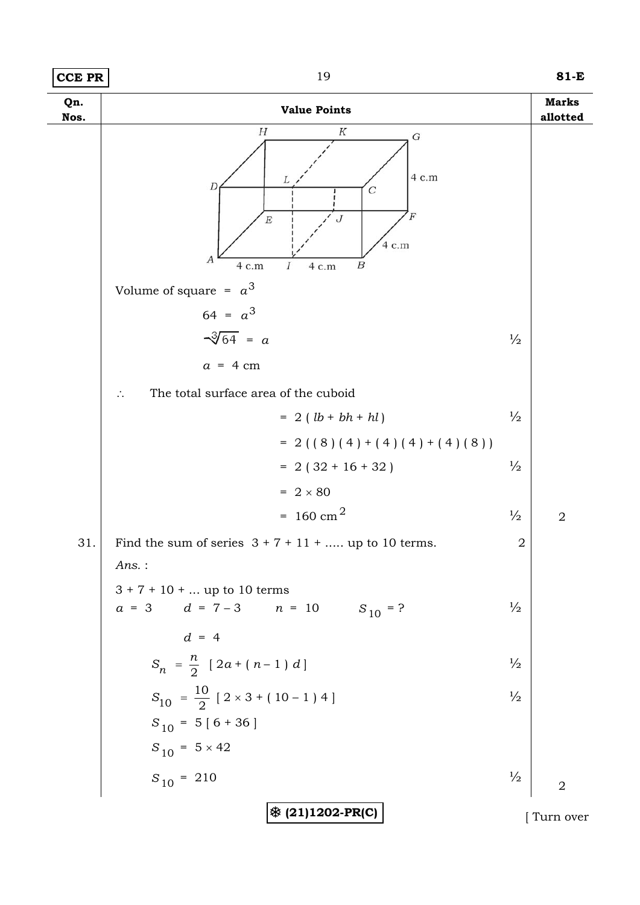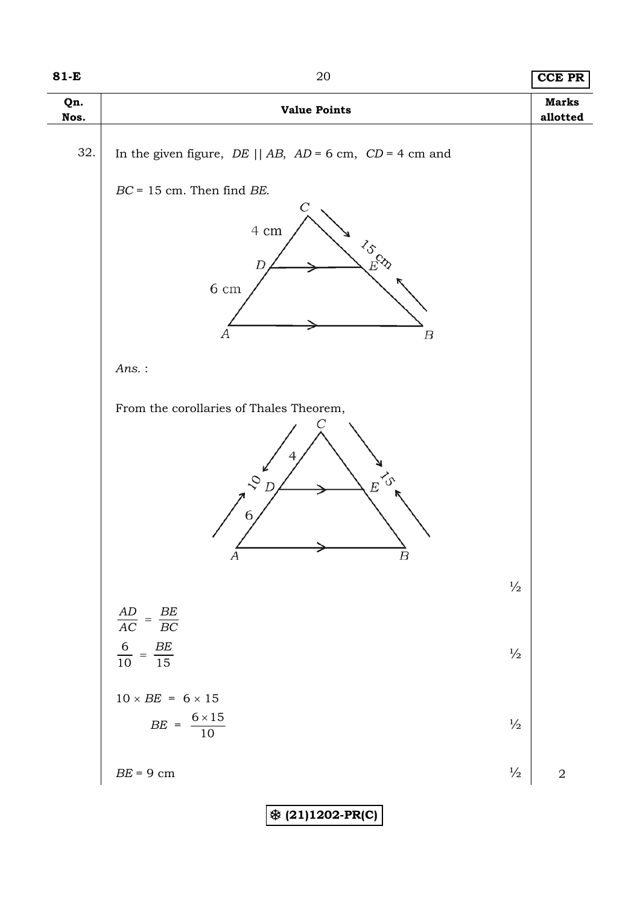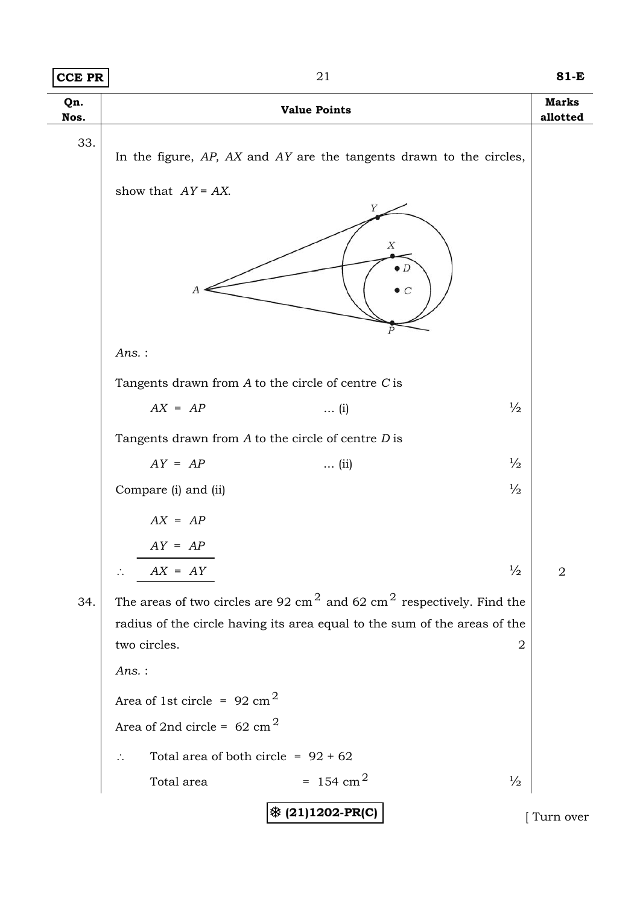| CCE PR      | 21                                                                                                          |                                | $81-E$                   |
|-------------|-------------------------------------------------------------------------------------------------------------|--------------------------------|--------------------------|
| Qn.<br>Nos. | <b>Value Points</b>                                                                                         |                                | <b>Marks</b><br>allotted |
| 33.         | In the figure, AP, AX and AY are the tangents drawn to the circles,<br>show that $AY = AX$ .<br>Υ<br>X<br>А | $\bullet$ $D$<br>$\mathcal{C}$ |                          |
|             | Ans.:                                                                                                       |                                |                          |
|             | Tangents drawn from $A$ to the circle of centre $C$ is                                                      |                                |                          |
|             | $AX = AP$<br>$\ldots$ (i)                                                                                   | $\frac{1}{2}$                  |                          |
|             | Tangents drawn from $A$ to the circle of centre $D$ is                                                      |                                |                          |
|             | $AY = AP$<br>$\ldots$ (ii)                                                                                  | $\frac{1}{2}$                  |                          |
|             | Compare (i) and (ii)                                                                                        | $\frac{1}{2}$                  |                          |
|             | $AX = AP$                                                                                                   |                                |                          |
|             | $AY = AP$                                                                                                   |                                |                          |
|             | $AX = AY$                                                                                                   | $\frac{1}{2}$                  | $\overline{2}$           |
| 34.         | The areas of two circles are 92 cm <sup>2</sup> and 62 cm <sup>2</sup> respectively. Find the               |                                |                          |
|             | radius of the circle having its area equal to the sum of the areas of the                                   |                                |                          |
|             | two circles.                                                                                                | 2                              |                          |
|             | $Ans.$ :                                                                                                    |                                |                          |
|             | Area of 1st circle = $92 \text{ cm}^2$                                                                      |                                |                          |
|             | Area of 2nd circle = $62 \text{ cm}^2$                                                                      |                                |                          |
|             | Total area of both circle = $92 + 62$<br>$\therefore$                                                       |                                |                          |
|             | $= 154$ cm <sup>2</sup><br>Total area                                                                       | $\frac{1}{2}$                  |                          |
|             | <b>※ (21)1202-PR(C)</b>                                                                                     |                                | Turn over                |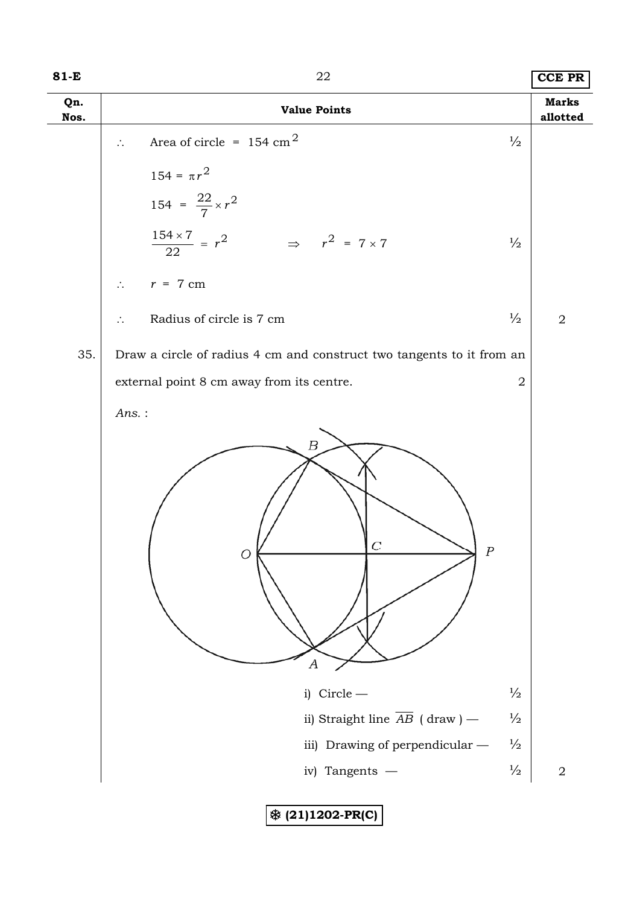### **81-E** 22 **CCE PR**

| Qn.<br>Nos. | <b>Value Points</b>                                                                                                                                                                                      | <b>Marks</b><br>allotted |
|-------------|----------------------------------------------------------------------------------------------------------------------------------------------------------------------------------------------------------|--------------------------|
|             | Area of circle = $154 \text{ cm}^2$<br>$\frac{1}{2}$<br>$\mathcal{L}_{\bullet}$                                                                                                                          |                          |
|             | $154=\pi r^2$                                                                                                                                                                                            |                          |
|             | 154 = $\frac{22}{7} \times r^2$                                                                                                                                                                          |                          |
|             | $\frac{154\times7}{22} = r^2$ $\Rightarrow$ $r^2 = 7\times7$<br>$\frac{1}{2}$                                                                                                                            |                          |
|             | $\therefore$ $r = 7$ cm                                                                                                                                                                                  |                          |
|             | $\frac{1}{2}$<br>Radius of circle is 7 cm<br>$\ddot{\cdot}$                                                                                                                                              | $\overline{2}$           |
| 35.         | Draw a circle of radius 4 cm and construct two tangents to it from an                                                                                                                                    |                          |
|             | external point 8 cm away from its centre.<br>$\overline{2}$                                                                                                                                              |                          |
|             | $Ans.$ :                                                                                                                                                                                                 |                          |
|             | $\boldsymbol{B}$<br>С<br>$\boldsymbol{P}$<br>O<br>А<br>i) Circle $-$<br>$\frac{1}{2}$<br>ii) Straight line $\overline{AB}$ (draw) —<br>$\frac{1}{2}$<br>iii) Drawing of perpendicular -<br>$\frac{1}{2}$ |                          |
|             | $\frac{1}{2}$<br>iv) Tangents -                                                                                                                                                                          | $\sqrt{2}$               |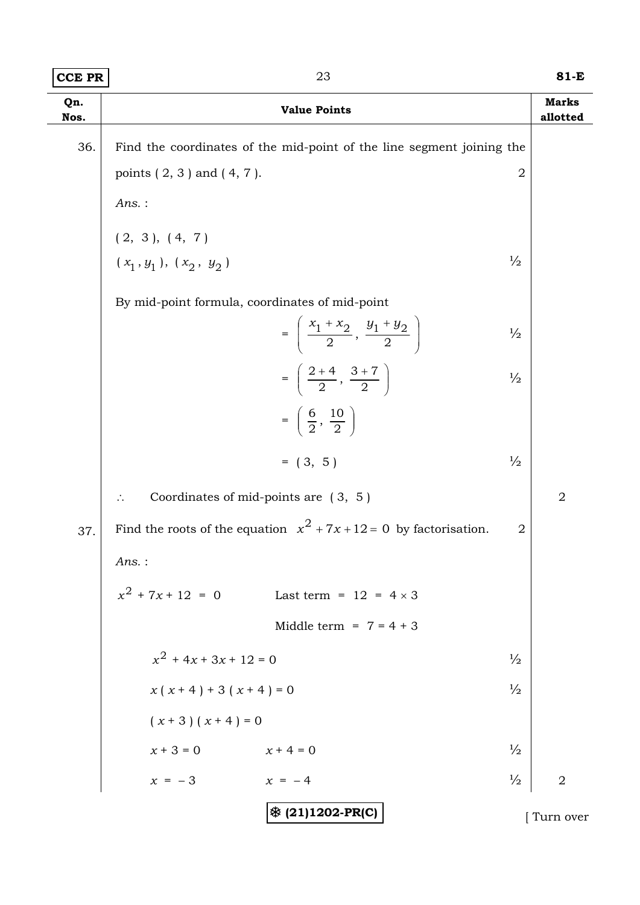| Qn.<br>Nos. |                                                        | <b>Value Points</b>                                                                    | <b>Marks</b><br>allotted |
|-------------|--------------------------------------------------------|----------------------------------------------------------------------------------------|--------------------------|
| 36.         |                                                        | Find the coordinates of the mid-point of the line segment joining the                  |                          |
|             | points $(2, 3)$ and $(4, 7)$ .                         | $\overline{2}$                                                                         |                          |
|             | $Ans.$ :                                               |                                                                                        |                          |
|             | (2, 3), (4, 7)                                         |                                                                                        |                          |
|             | $(x_1, y_1), (x_2, y_2)$                               | $\frac{1}{2}$                                                                          |                          |
|             | By mid-point formula, coordinates of mid-point         |                                                                                        |                          |
|             |                                                        | $=\left(\frac{x_1+x_2}{2},\frac{y_1+y_2}{2}\right)$<br>$\frac{1}{2}$                   |                          |
|             |                                                        | $=\left(\frac{2+4}{2},\frac{3+7}{2}\right)$<br>$\frac{1}{2}$                           |                          |
|             |                                                        | $=\left(\frac{6}{2},\frac{10}{2}\right)$                                               |                          |
|             |                                                        | $= (3, 5)$<br>$\frac{1}{2}$                                                            |                          |
|             | Coordinates of mid-points are $(3, 5)$<br>$\therefore$ |                                                                                        | $\overline{2}$           |
| 37.         |                                                        | Find the roots of the equation $x^2 + 7x + 12 = 0$ by factorisation.<br>$\overline{2}$ |                          |
|             | $Ans.$ :                                               |                                                                                        |                          |
|             | $x^2$ + 7x + 12 = 0                                    | Last term = $12 = 4 \times 3$                                                          |                          |
|             |                                                        | Middle term = $7 = 4 + 3$                                                              |                          |
|             | $x^{2}$ + 4x + 3x + 12 = 0                             | $\frac{1}{2}$                                                                          |                          |
|             | $x(x+4) + 3(x+4) = 0$                                  | $\frac{1}{2}$                                                                          |                          |
|             | $(x + 3)(x + 4) = 0$                                   |                                                                                        |                          |
|             | $x + 3 = 0$<br>$x + 4 = 0$                             | $\frac{1}{2}$                                                                          |                          |
|             | $x = -3$<br>$x = -4$                                   | $\frac{1}{2}$                                                                          | $\overline{2}$           |
|             |                                                        | $ \text{\$ (21)1202-PR(C)}$                                                            | Turn over                |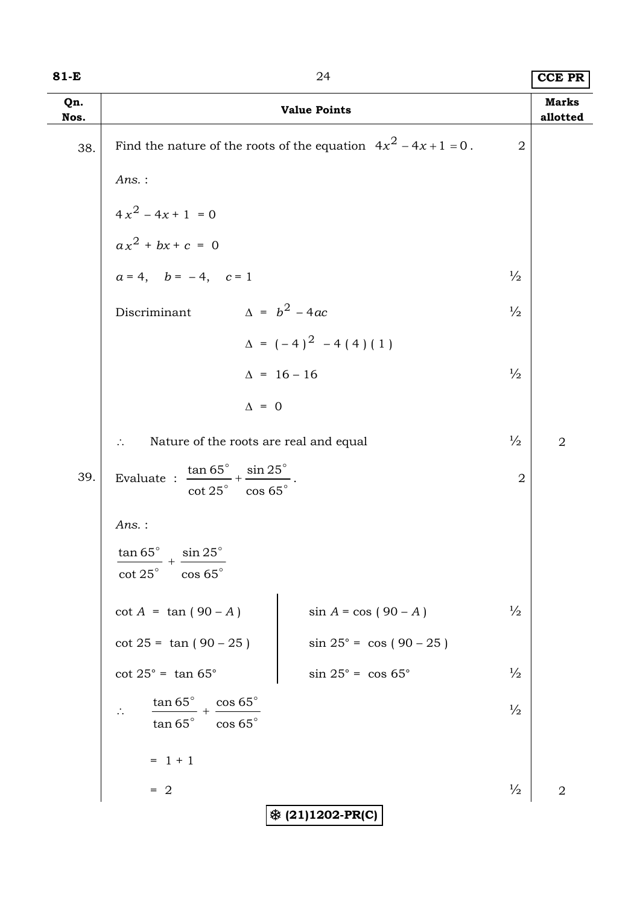| $81-E$      |                                                                                          | 24                                 |                | <b>CCE PR</b>            |  |  |
|-------------|------------------------------------------------------------------------------------------|------------------------------------|----------------|--------------------------|--|--|
| Qn.<br>Nos. |                                                                                          | <b>Value Points</b>                |                | <b>Marks</b><br>allotted |  |  |
| 38.         | Find the nature of the roots of the equation $4x^2 - 4x + 1 = 0$ .<br>$\overline{2}$     |                                    |                |                          |  |  |
|             | Ans.:                                                                                    |                                    |                |                          |  |  |
|             | $4x^2 - 4x + 1 = 0$<br>$ax^2 + bx + c = 0$                                               |                                    |                |                          |  |  |
|             |                                                                                          |                                    |                |                          |  |  |
|             | $a = 4$ , $b = -4$ , $c = 1$                                                             |                                    | $\frac{1}{2}$  |                          |  |  |
|             | $\Delta = b^2 - 4ac$<br>Discriminant                                                     |                                    | $\frac{1}{2}$  |                          |  |  |
|             |                                                                                          | $\Delta = (-4)^2 - 4(4)(1)$        |                |                          |  |  |
|             |                                                                                          | $\Delta = 16 - 16$                 | $\frac{1}{2}$  |                          |  |  |
|             | $\Delta = 0$                                                                             |                                    |                |                          |  |  |
|             | Nature of the roots are real and equal                                                   |                                    | $\frac{1}{2}$  | $\overline{2}$           |  |  |
| 39.         | Evaluate : $\frac{\tan 65^\circ}{\cot 25^\circ} + \frac{\sin 25^\circ}{\cos 65^\circ}$ . |                                    | $\overline{2}$ |                          |  |  |
|             | $Ans.$ :                                                                                 |                                    |                |                          |  |  |
|             | $\tan 65^\circ$ $\sin 25^\circ$<br>$\cot 25^\circ$<br>$\cos 65^\circ$                    |                                    |                |                          |  |  |
|             | $\cot A = \tan (90 - A)$                                                                 | $\sin A = \cos (90 - A)$           | $\frac{1}{2}$  |                          |  |  |
|             | $\cot 25 = \tan (90 - 25)$                                                               | $\sin 25^{\circ} = \cos (90 - 25)$ |                |                          |  |  |
|             | $\cot 25^\circ = \tan 65^\circ$                                                          | $\sin 25^\circ = \cos 65^\circ$    | $\frac{1}{2}$  |                          |  |  |
|             | $\tan 65^\circ$<br>$+\frac{\cos 65^{\circ}}{2}$<br>$\tan{65}^{\circ}$<br>$\cos 65^\circ$ |                                    | $\frac{1}{2}$  |                          |  |  |
|             | $= 1 + 1$                                                                                |                                    |                |                          |  |  |
|             | $= 2$                                                                                    |                                    | $\frac{1}{2}$  | $\overline{2}$           |  |  |
|             |                                                                                          | <b>※ (21)1202-PR(C)</b>            |                |                          |  |  |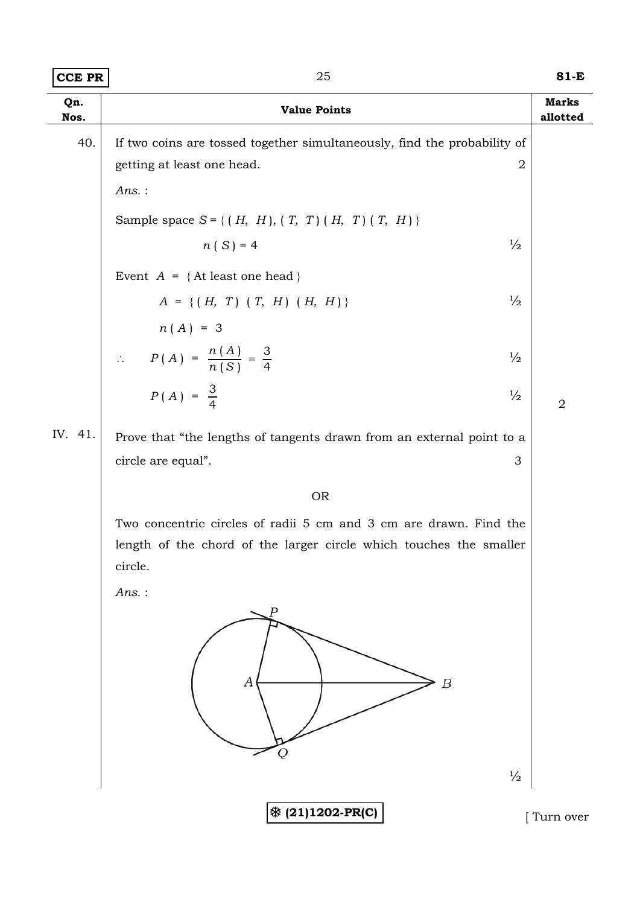| ገር | 81-E |
|----|------|
|    |      |

| Qn.<br>Nos. | <b>Value Points</b>                                                      | <b>Marks</b><br>allotted |
|-------------|--------------------------------------------------------------------------|--------------------------|
| 40.         | If two coins are tossed together simultaneously, find the probability of |                          |
|             | getting at least one head.<br>$\overline{2}$                             |                          |
|             | $Ans.$ :                                                                 |                          |
|             | Sample space $S = \{ (H, H), (T, T), (H, T), (T, H) \}$                  |                          |
|             | $n(S) = 4$<br>$\frac{1}{2}$                                              |                          |
|             | Event $A = \{$ At least one head $\}$                                    |                          |
|             | $\frac{1}{2}$<br>$A = \{ (H, T) (T, H) (H, H) \}$                        |                          |
|             | $n(A) = 3$                                                               |                          |
|             | $\therefore$ $P(A) = \frac{n(A)}{n(S)} = \frac{3}{4}$<br>$\frac{1}{2}$   |                          |
|             | $P(A) = \frac{3}{4}$<br>$\frac{1}{2}$                                    | $\overline{2}$           |
| IV. 41.     | Prove that "the lengths of tangents drawn from an external point to a    |                          |
|             | circle are equal".<br>3                                                  |                          |
|             | <b>OR</b>                                                                |                          |
|             | Two concentric circles of radii 5 cm and 3 cm are drawn. Find the        |                          |
|             | length of the chord of the larger circle which touches the smaller       |                          |
|             | circle.<br>Ans.:                                                         |                          |
|             |                                                                          |                          |
|             | Α<br>$\boldsymbol{B}$<br>Q<br>$\frac{1}{2}$                              |                          |
|             |                                                                          |                          |
|             | ※ (21)1202-PR(C)                                                         | Turn over                |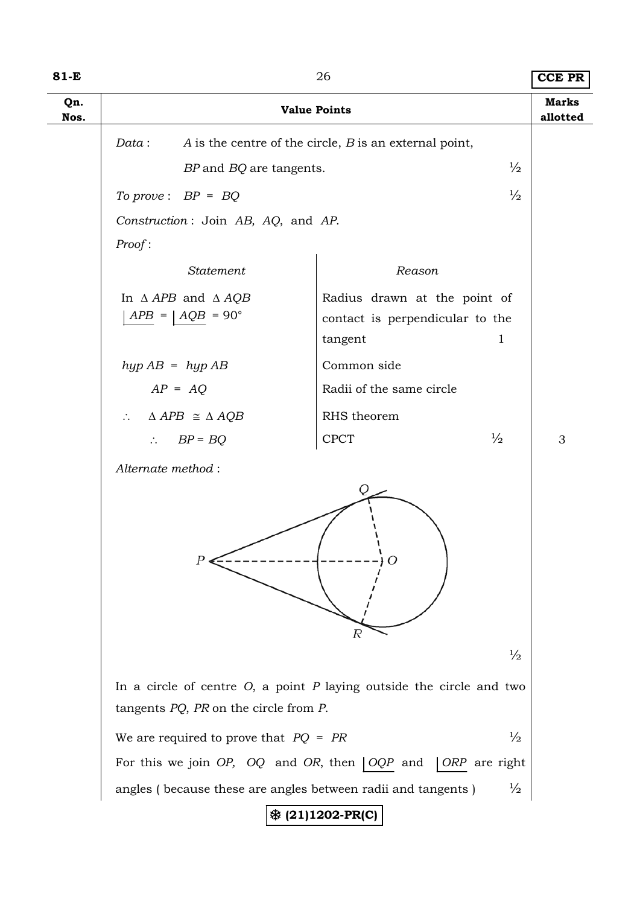| $81-E$      | 26                                                                                                                         |                                                                            |               |                          |  |  |
|-------------|----------------------------------------------------------------------------------------------------------------------------|----------------------------------------------------------------------------|---------------|--------------------------|--|--|
| Qn.<br>Nos. |                                                                                                                            | <b>Value Points</b>                                                        |               | <b>Marks</b><br>allotted |  |  |
|             | Data:                                                                                                                      | A is the centre of the circle, $B$ is an external point,                   |               |                          |  |  |
|             | BP and BQ are tangents.                                                                                                    |                                                                            | $\frac{1}{2}$ |                          |  |  |
|             | To prove: $BP = BQ$                                                                                                        |                                                                            | $\frac{1}{2}$ |                          |  |  |
|             | Construction: Join AB, AQ, and AP.                                                                                         |                                                                            |               |                          |  |  |
|             | Proof:                                                                                                                     |                                                                            |               |                          |  |  |
|             | Statement                                                                                                                  | Reason                                                                     |               |                          |  |  |
|             | In $\triangle APB$ and $\triangle AQB$<br>$APB =   AQB = 90^\circ$                                                         | Radius drawn at the point of<br>contact is perpendicular to the<br>tangent | $\mathbf 1$   |                          |  |  |
|             | $hyp AB = hyp AB$                                                                                                          | Common side                                                                |               |                          |  |  |
|             | $AP = AQ$                                                                                                                  | Radii of the same circle                                                   |               |                          |  |  |
|             | $\triangle APB \cong \triangle AQB$<br>$\mathcal{L}$                                                                       | RHS theorem                                                                |               |                          |  |  |
|             | $BP = BQ$<br>$\mathcal{L}_{\mathcal{L}}$                                                                                   | <b>CPCT</b>                                                                | $\frac{1}{2}$ | 3                        |  |  |
|             | Alternate method:                                                                                                          | Q<br>R                                                                     |               |                          |  |  |
|             |                                                                                                                            |                                                                            | $\frac{1}{2}$ |                          |  |  |
|             | In a circle of centre $O$ , a point $P$ laying outside the circle and two<br>tangents $PQ$ , $PR$ on the circle from $P$ . |                                                                            |               |                          |  |  |
|             | We are required to prove that $PQ = PR$                                                                                    |                                                                            | $\frac{1}{2}$ |                          |  |  |
|             | For this we join $OP$ , $OQ$ and $OR$ , then $OQP$ and                                                                     | ORP are right                                                              |               |                          |  |  |
|             | angles (because these are angles between radii and tangents)                                                               |                                                                            | $\frac{1}{2}$ |                          |  |  |
|             |                                                                                                                            | <b>※ (21)1202-PR(C)</b>                                                    |               |                          |  |  |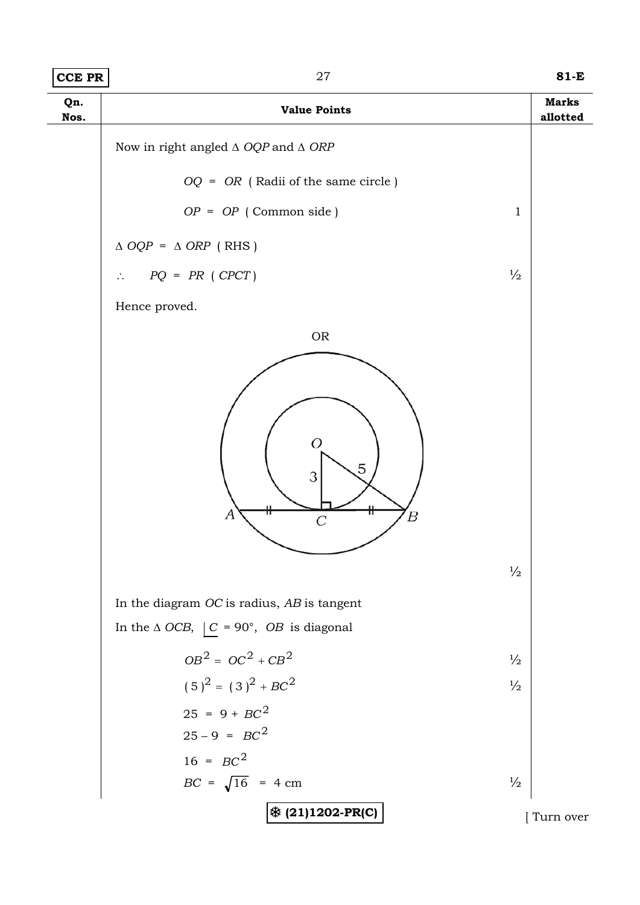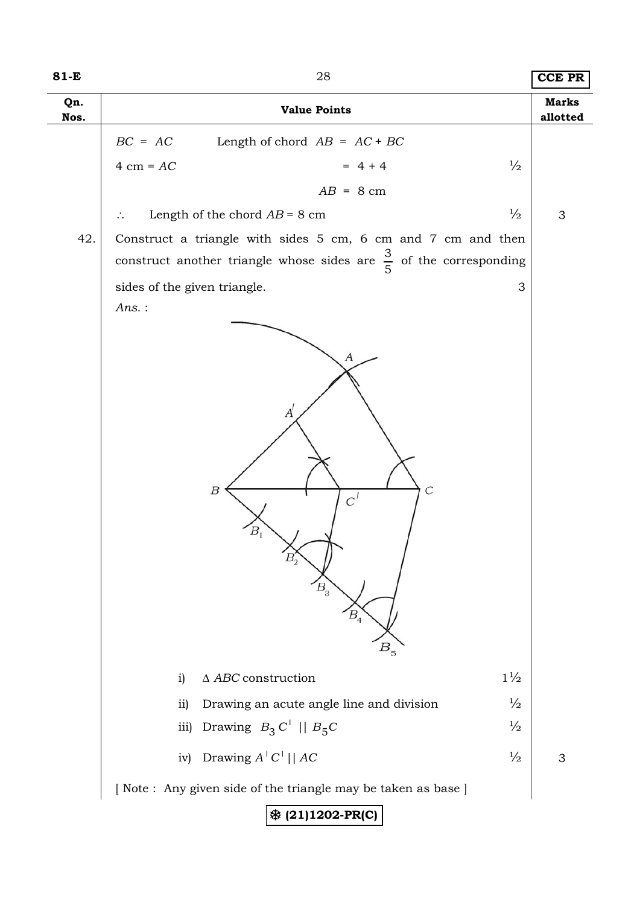| 81-E        | 28<br><b>CCE PR</b>                                                                                                                                                   |                           |  |  |  |  |  |
|-------------|-----------------------------------------------------------------------------------------------------------------------------------------------------------------------|---------------------------|--|--|--|--|--|
| Qn.<br>Nos. | <b>Value Points</b>                                                                                                                                                   |                           |  |  |  |  |  |
|             | $BC = AC$<br>Length of chord $AB = AC + BC$                                                                                                                           |                           |  |  |  |  |  |
|             | $= 4 + 4$<br>$4 \text{ cm} = AC$<br>$\frac{1}{2}$                                                                                                                     |                           |  |  |  |  |  |
|             | $AB = 8$ cm                                                                                                                                                           |                           |  |  |  |  |  |
|             | $\frac{1}{2}$<br>Length of the chord $AB = 8$ cm<br>$\ddot{\cdot}$ .                                                                                                  | $\ensuremath{\mathsf{3}}$ |  |  |  |  |  |
| 42.         | Construct a triangle with sides 5 cm, 6 cm and 7 cm and then                                                                                                          |                           |  |  |  |  |  |
|             | construct another triangle whose sides are $\frac{3}{5}$ of the corresponding                                                                                         |                           |  |  |  |  |  |
|             | sides of the given triangle.<br>3                                                                                                                                     |                           |  |  |  |  |  |
|             | Ans.:                                                                                                                                                                 |                           |  |  |  |  |  |
|             | $A^{'}$<br>$\overline{C}$<br>Β<br>$C^{I}$<br>B <sub>1</sub><br>$B_2$<br>$B_{3}$<br>$B_{4}$<br>$B_{\overline{5}}$<br>$1\frac{1}{2}$<br>$\Delta$ ABC construction<br>i) |                           |  |  |  |  |  |
|             |                                                                                                                                                                       |                           |  |  |  |  |  |
|             | $\frac{1}{2}$<br>Drawing an acute angle line and division<br>ii)<br>$\frac{1}{2}$<br>iii)                                                                             |                           |  |  |  |  |  |
|             | Drawing $B_3 C'    B_5 C$                                                                                                                                             |                           |  |  |  |  |  |
|             | Drawing $A'C' $   AC<br>$\frac{1}{2}$<br>iv)                                                                                                                          | 3                         |  |  |  |  |  |
|             | [Note: Any given side of the triangle may be taken as base ]                                                                                                          |                           |  |  |  |  |  |
|             | <b>※ (21)1202-PR(C)</b>                                                                                                                                               |                           |  |  |  |  |  |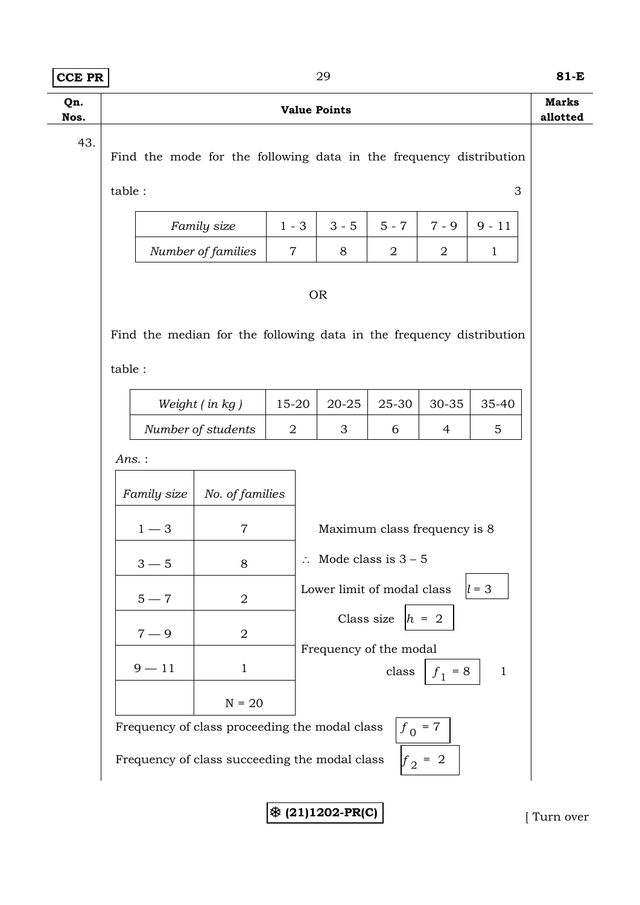| <b>CCE PR</b> | 29                                                                                                                                                                                                                                                                                                                                                                                           |                |  |         |                |                |             |  |  |  |  |
|---------------|----------------------------------------------------------------------------------------------------------------------------------------------------------------------------------------------------------------------------------------------------------------------------------------------------------------------------------------------------------------------------------------------|----------------|--|---------|----------------|----------------|-------------|--|--|--|--|
| Qn.<br>Nos.   | <b>Value Points</b>                                                                                                                                                                                                                                                                                                                                                                          |                |  |         |                |                |             |  |  |  |  |
| 43.           | Find the mode for the following data in the frequency distribution<br>table:<br>3                                                                                                                                                                                                                                                                                                            |                |  |         |                |                |             |  |  |  |  |
|               | Family size                                                                                                                                                                                                                                                                                                                                                                                  | $1 - 3$        |  | $3 - 5$ | $5 - 7$        | $7 - 9$        | $9 - 11$    |  |  |  |  |
|               | Number of families                                                                                                                                                                                                                                                                                                                                                                           | $\overline{7}$ |  | 8       | $\overline{2}$ | 2              | $\mathbf 1$ |  |  |  |  |
|               | <b>OR</b><br>Find the median for the following data in the frequency distribution<br>table :                                                                                                                                                                                                                                                                                                 |                |  |         |                |                |             |  |  |  |  |
|               | Weight (in kg)                                                                                                                                                                                                                                                                                                                                                                               | 15-20          |  | 20-25   | 25-30          | 30-35          | 35-40       |  |  |  |  |
|               | Number of students                                                                                                                                                                                                                                                                                                                                                                           | $\overline{2}$ |  | 3       | 6              | $\overline{4}$ | 5           |  |  |  |  |
|               | Ans.:<br>Family size<br>No. of families<br>$1 - 3$<br>$\overline{7}$<br>Maximum class frequency is 8<br>$\therefore$ Mode class is $3 - 5$<br>$3 - 5$<br>8<br>$l = 3$<br>Lower limit of modal class<br>$5 - 7$<br>$\overline{2}$<br>Class size $ h = 2$<br>$\overline{2}$<br>$7 - 9$<br>Frequency of the modal<br>$9 - 11$<br>$\mathbf{1}$<br>class<br>$f_1 = 8$<br>$\mathbf{1}$<br>$N = 20$ |                |  |         |                |                |             |  |  |  |  |
|               | Frequency of class proceeding the modal class<br>$f_0 = 7$                                                                                                                                                                                                                                                                                                                                   |                |  |         |                |                |             |  |  |  |  |
|               | Frequency of class succeeding the modal class<br>$f_2 = 2$                                                                                                                                                                                                                                                                                                                                   |                |  |         |                |                |             |  |  |  |  |

7 **(21)1202-PR(C)** [ Turn over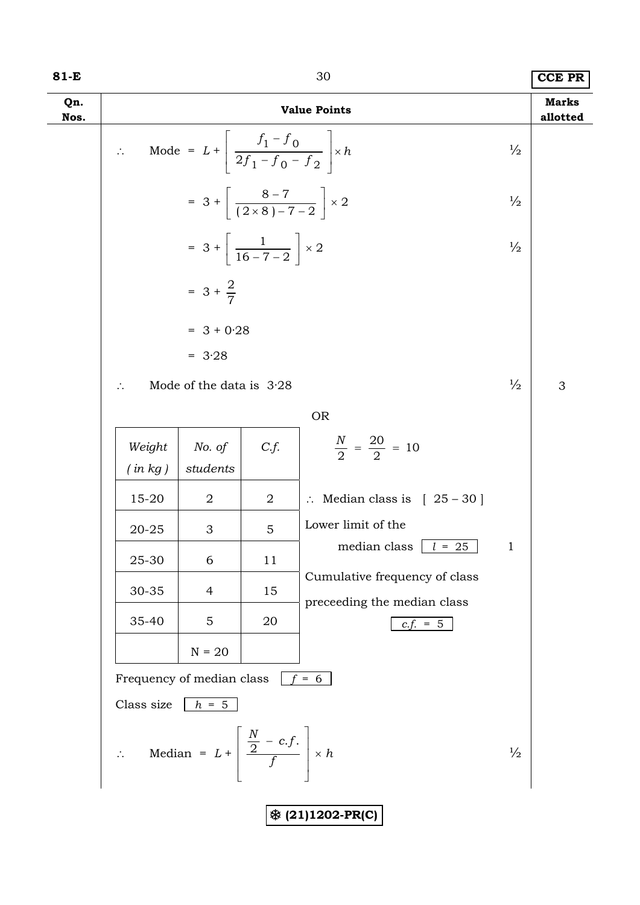| I<br>×<br>۰. |  |
|--------------|--|
|--------------|--|

# 80 **CCE PR**

| Qn.<br>Nos. | <b>Value Points</b>                                                              |                                                                         |                |                                           |               |   |  |  |  |
|-------------|----------------------------------------------------------------------------------|-------------------------------------------------------------------------|----------------|-------------------------------------------|---------------|---|--|--|--|
|             | $\mathcal{L}^{(1)}$                                                              | Mode = $L + \left  \frac{f_1 - f_0}{2f_1 - f_0 - f_2} \right  \times h$ |                |                                           | $\frac{1}{2}$ |   |  |  |  |
|             | $= 3 + \left( \frac{8-7}{(2 \times 8) - 7 - 2} \right) \times 2$                 |                                                                         |                |                                           |               |   |  |  |  |
|             |                                                                                  | $= 3 + \left[ \frac{1}{16 - 7 - 2} \right] \times 2$                    |                |                                           | $\frac{1}{2}$ |   |  |  |  |
|             |                                                                                  | $= 3 + \frac{2}{7}$                                                     |                |                                           |               |   |  |  |  |
|             |                                                                                  | $= 3 + 0.28$                                                            |                |                                           |               |   |  |  |  |
|             |                                                                                  | $= 3.28$                                                                |                |                                           |               |   |  |  |  |
|             | $\ddot{\cdot}$                                                                   | Mode of the data is $3.28$                                              |                |                                           | $\frac{1}{2}$ | 3 |  |  |  |
|             |                                                                                  |                                                                         |                | <b>OR</b>                                 |               |   |  |  |  |
|             | Weight<br>(in kg)                                                                | No. of<br>students                                                      | C.f.           | $\frac{N}{2} = \frac{20}{2} = 10$         |               |   |  |  |  |
|             | 15-20                                                                            | $\overline{2}$                                                          | $\overline{2}$ | $\therefore$ Median class is [ 25 - 30]   |               |   |  |  |  |
|             | 20-25                                                                            | 3                                                                       | 5              | Lower limit of the                        |               |   |  |  |  |
|             | 25-30                                                                            | 6                                                                       | 11             | median class $\vert l = 25$               | $\mathbf{1}$  |   |  |  |  |
|             | 30-35                                                                            | 4                                                                       | 15             | Cumulative frequency of class             |               |   |  |  |  |
|             | 35-40                                                                            | 5                                                                       | 20             | preceeding the median class<br>$c.f. = 5$ |               |   |  |  |  |
|             |                                                                                  | $N = 20$                                                                |                |                                           |               |   |  |  |  |
|             |                                                                                  | Frequency of median class                                               |                | $\frac{1}{f} = 6$                         |               |   |  |  |  |
|             | Class size $h = 5$                                                               |                                                                         |                |                                           |               |   |  |  |  |
|             | $\therefore$ Median = $L + \left  \frac{\frac{N}{2} - c.f.}{f} \right  \times h$ |                                                                         |                |                                           | $\frac{1}{2}$ |   |  |  |  |
|             | <b>※ (21)1202-PR(C)</b>                                                          |                                                                         |                |                                           |               |   |  |  |  |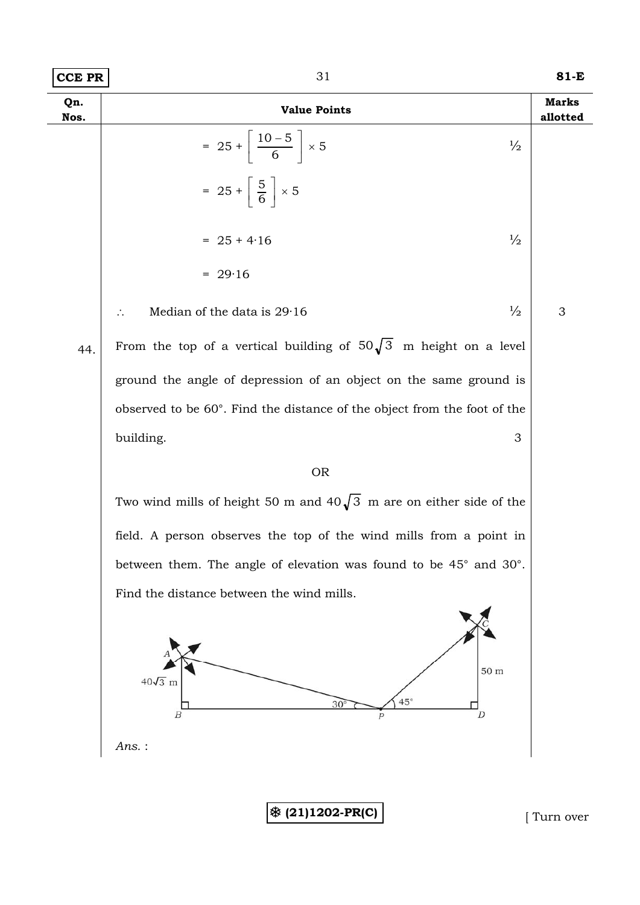| <b>CCE PR</b> | 31                                                                         | 81-E                     |
|---------------|----------------------------------------------------------------------------|--------------------------|
| Qn.<br>Nos.   | <b>Value Points</b>                                                        | <b>Marks</b><br>allotted |
|               | $= 25 + \left[ \frac{10 - 5}{6} \right] \times 5$<br>$\frac{1}{2}$         |                          |
|               | $= 25 + \left\lceil \frac{5}{6} \right\rceil \times 5$                     |                          |
|               | $\frac{1}{2}$<br>$= 25 + 4.16$                                             |                          |
|               | $= 29.16$                                                                  |                          |
|               | $\frac{1}{2}$<br>Median of the data is 29.16                               | 3                        |
| 44.           | From the top of a vertical building of $50\sqrt{3}$ m height on a level    |                          |
|               | ground the angle of depression of an object on the same ground is          |                          |
|               | observed to be 60°. Find the distance of the object from the foot of the   |                          |
|               | building.<br>3                                                             |                          |
|               | <b>OR</b>                                                                  |                          |
|               | Two wind mills of height 50 m and $40\sqrt{3}$ m are on either side of the |                          |
|               | field. A person observes the top of the wind mills from a point in         |                          |
|               | between them. The angle of elevation was found to be 45° and 30°.          |                          |
|               | Find the distance between the wind mills.                                  |                          |
|               | 50 m<br>$40\sqrt{3}$ m<br>$45^\circ$<br>$30^{\circ}$<br>D<br>В             |                          |
|               | Ans.:                                                                      |                          |
|               |                                                                            |                          |
|               | <b>※ (21)1202-PR(C)</b>                                                    | Turn over                |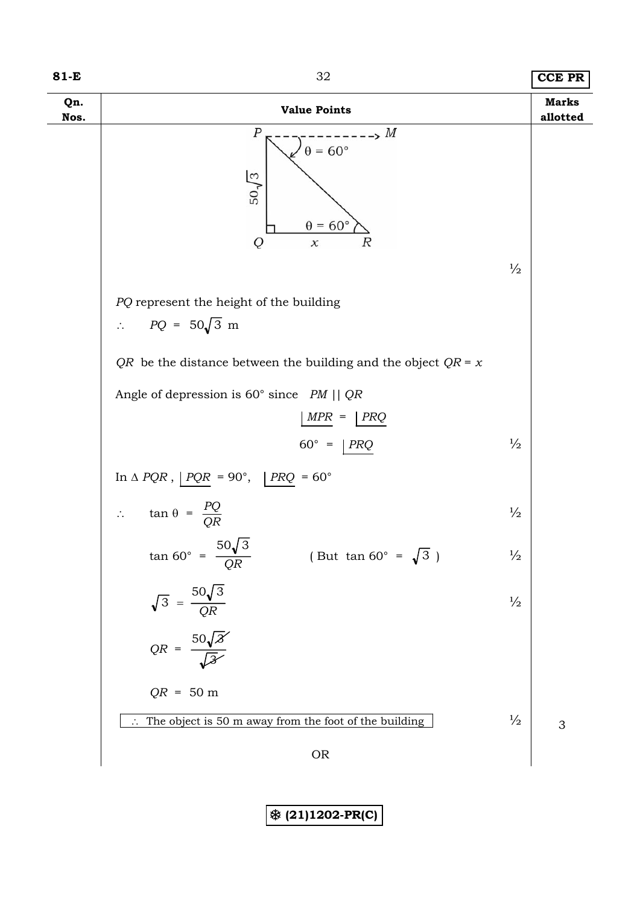### **81-E** 32 **CCE PR**

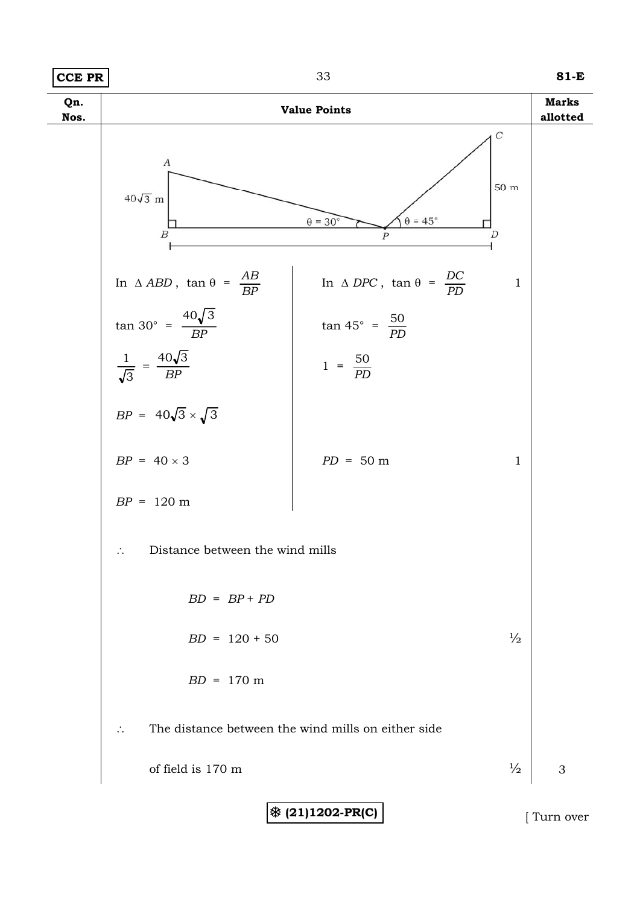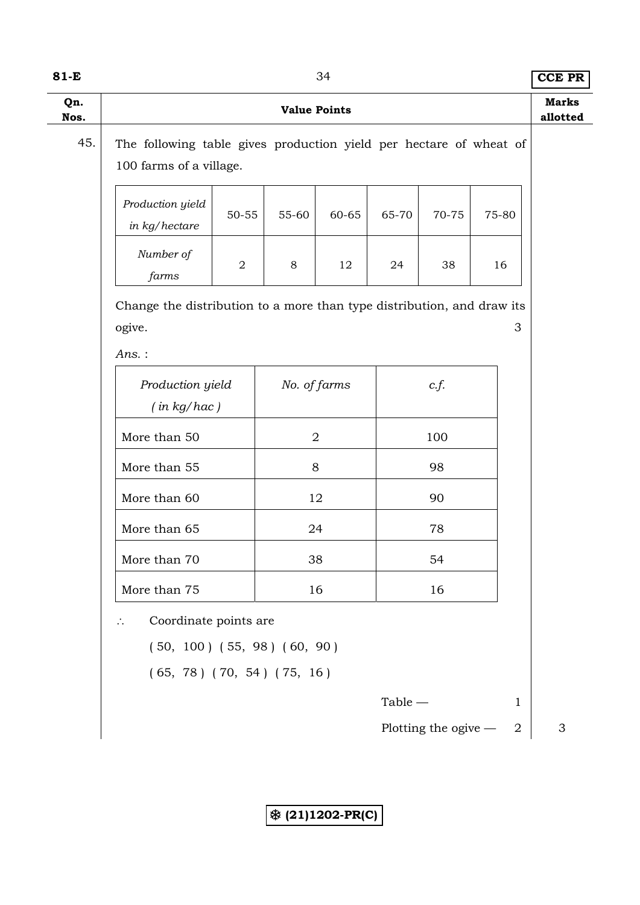| I<br>×<br>۰. |  |
|--------------|--|
|--------------|--|

84 **CCE PR** 

|                                                                                                                | <b>Value Points</b>                                                                           |            |       |                |           |                      |    |                  | <b>Marks</b><br>allotted |
|----------------------------------------------------------------------------------------------------------------|-----------------------------------------------------------------------------------------------|------------|-------|----------------|-----------|----------------------|----|------------------|--------------------------|
| 45.                                                                                                            | The following table gives production yield per hectare of wheat of<br>100 farms of a village. |            |       |                |           |                      |    |                  |                          |
|                                                                                                                | Production yield<br>in kg/hectare                                                             | 50-55      | 55-60 | 60-65          | 65-70     | 70-75                |    | 75-80            |                          |
|                                                                                                                | Number of<br>farms                                                                            | $\sqrt{2}$ | 8     | 12             | 24        | 38                   | 16 |                  |                          |
|                                                                                                                | Change the distribution to a more than type distribution, and draw its<br>ogive.              |            |       |                |           |                      |    | 3                |                          |
|                                                                                                                | Ans.:<br>Production yield<br>(in kg/hac)                                                      |            |       | No. of farms   |           | c.f.                 |    |                  |                          |
|                                                                                                                | More than 50                                                                                  |            |       | $\overline{2}$ |           | 100                  |    |                  |                          |
|                                                                                                                | More than 55                                                                                  |            |       | 8              |           | 98                   |    |                  |                          |
| More than 60                                                                                                   |                                                                                               |            |       | 12             |           | 90                   |    |                  |                          |
| More than 65                                                                                                   |                                                                                               |            | 24    |                |           | 78                   |    |                  |                          |
| More than 70                                                                                                   |                                                                                               |            |       | 38             | 54        |                      |    |                  |                          |
|                                                                                                                | More than 75                                                                                  |            |       | 16             | 16        |                      |    |                  |                          |
| Coordinate points are<br>$\therefore$<br>$(50, 100)$ $(55, 98)$ $(60, 90)$<br>$(65, 78)$ $(70, 54)$ $(75, 16)$ |                                                                                               |            |       |                |           |                      |    |                  |                          |
|                                                                                                                |                                                                                               |            |       |                | $Table -$ |                      |    | $\mathbf{1}$     |                          |
|                                                                                                                |                                                                                               |            |       |                |           | Plotting the ogive - |    | $\boldsymbol{2}$ | 3                        |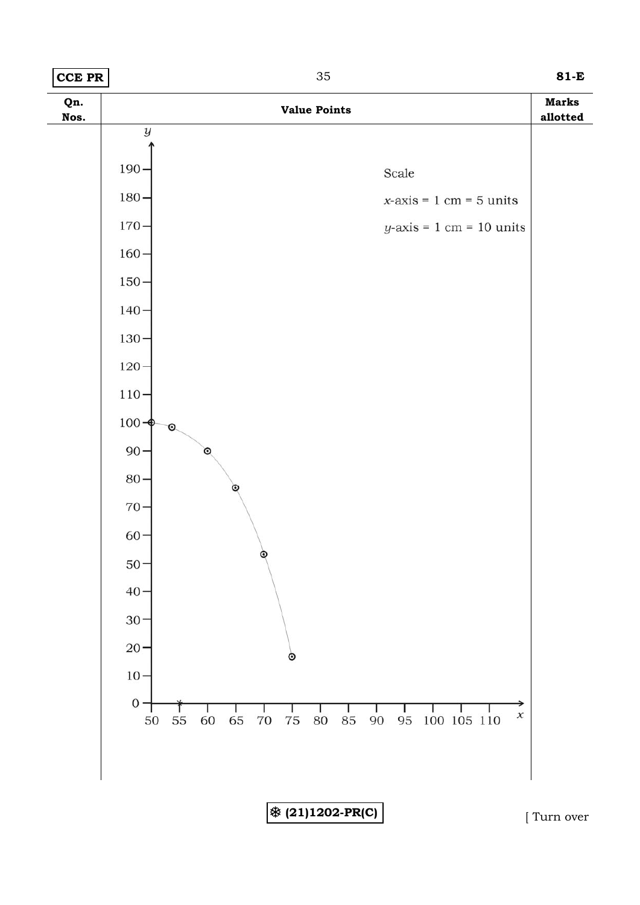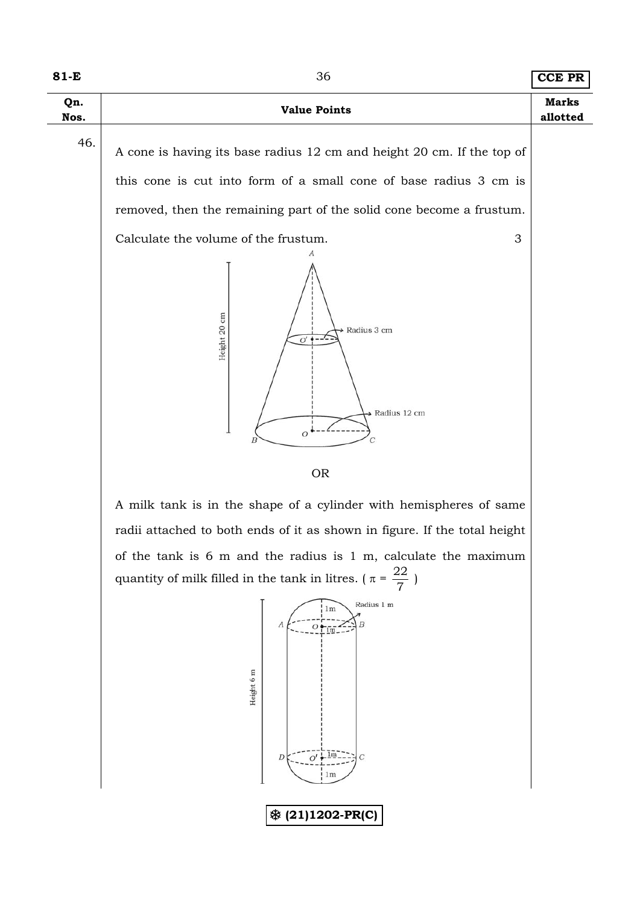| Qn.<br>Nos. | <b>Value Points</b>                                                                                                                         | <b>Marks</b><br>allotted |
|-------------|---------------------------------------------------------------------------------------------------------------------------------------------|--------------------------|
| 46.         | A cone is having its base radius 12 cm and height 20 cm. If the top of<br>this cone is cut into form of a small cone of base radius 3 cm is |                          |
|             | removed, then the remaining part of the solid cone become a frustum.<br>Calculate the volume of the frustum.<br>3                           |                          |
|             | Height 20 cm<br>Radius 3 cm<br>O'<br>Radius 12 cm<br>$\overline{O}$<br>C                                                                    |                          |
|             | <b>OR</b>                                                                                                                                   |                          |

A milk tank is in the shape of a cylinder with hemispheres of same radii attached to both ends of it as shown in figure. If the total height of the tank is 6 m and the radius is 1 m, calculate the maximum quantity of milk filled in the tank in litres. ( $\pi = \frac{22}{7}$ )

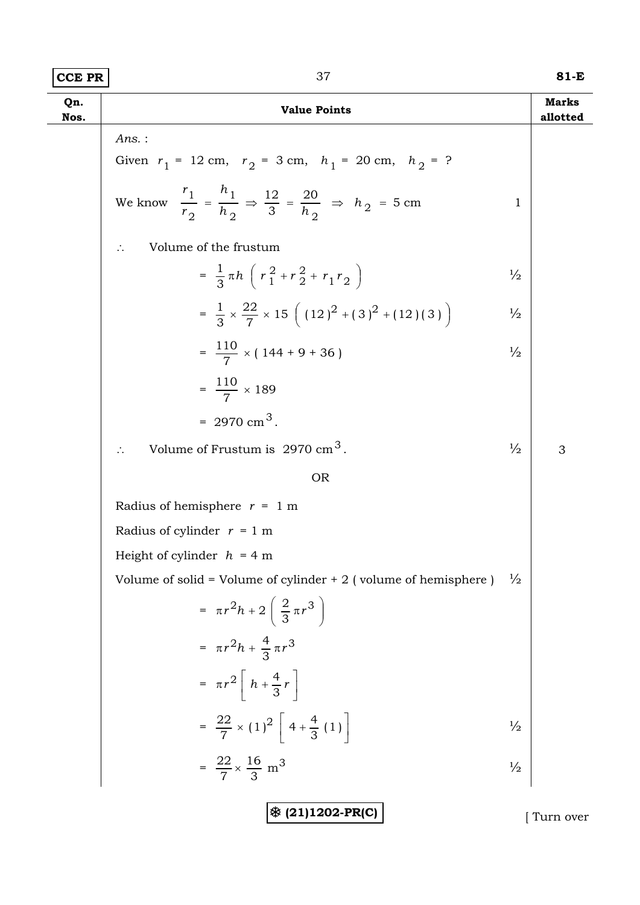# **CCE PR** 37 **81-E**

| Qn.<br>Nos. | <b>Value Points</b>                                                                                          |               | <b>Marks</b><br>allotted |
|-------------|--------------------------------------------------------------------------------------------------------------|---------------|--------------------------|
|             | $Ans.$ :                                                                                                     |               |                          |
|             | Given $r_1 = 12$ cm, $r_2 = 3$ cm, $h_1 = 20$ cm, $h_2 = ?$                                                  |               |                          |
|             | We know $\frac{r_1}{r_2} = \frac{h_1}{h_2} \Rightarrow \frac{12}{3} = \frac{20}{h_2} \Rightarrow h_2 = 5$ cm | 1             |                          |
|             | Volume of the frustum<br>$\therefore$                                                                        |               |                          |
|             | $=\frac{1}{3} \pi h \left( r_1^2 + r_2^2 + r_1 r_2 \right)$                                                  | $\frac{1}{2}$ |                          |
|             | $=\frac{1}{3}\times\frac{22}{7}\times15\left((12)^{2}+(3)^{2}+(12)(3)\right)$                                | $\frac{1}{2}$ |                          |
|             | $=\frac{110}{7} \times (144 + 9 + 36)$                                                                       | $\frac{1}{2}$ |                          |
|             | $=\frac{110}{7} \times 189$                                                                                  |               |                          |
|             | $= 2970 \text{ cm}^3$ .                                                                                      |               |                          |
|             | Volume of Frustum is $2970 \text{ cm}^3$ .                                                                   | $\frac{1}{2}$ | 3                        |
|             | <b>OR</b>                                                                                                    |               |                          |
|             | Radius of hemisphere $r = 1$ m                                                                               |               |                          |
|             | Radius of cylinder $r = 1$ m                                                                                 |               |                          |
|             | Height of cylinder $h = 4$ m                                                                                 |               |                          |
|             | Volume of solid = Volume of cylinder $+ 2$ (volume of hemisphere)                                            | $\frac{1}{2}$ |                          |
|             | $= \pi r^2 h + 2 \left( \frac{2}{3} \pi r^3 \right)$                                                         |               |                          |
|             | $= \pi r^2 h + \frac{4}{3} \pi r^3$                                                                          |               |                          |
|             | $= \pi r^2 \left  h + \frac{4}{3} r \right $                                                                 |               |                          |
|             | $=\frac{22}{7} \times (1)^2 \left[ 4 + \frac{4}{3} (1) \right]$                                              | $\frac{1}{2}$ |                          |
|             | $=\frac{22}{7} \times \frac{16}{3}$ m <sup>3</sup>                                                           | $\frac{1}{2}$ |                          |
|             | ※ (21)1202-PR(C)                                                                                             |               | Turn over                |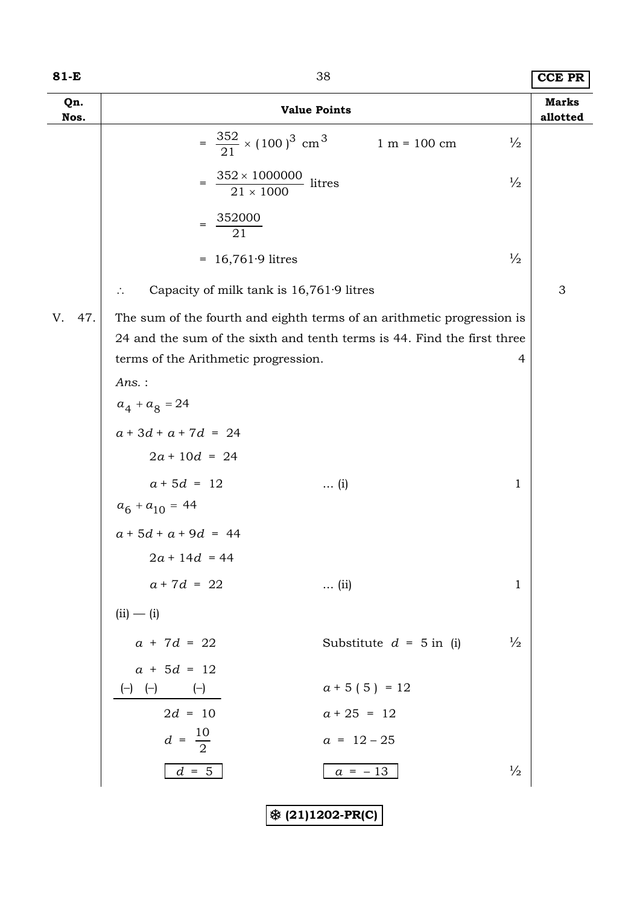| ۰,<br>×<br>۰. |  |  |
|---------------|--|--|
|---------------|--|--|

| 81-E        | 38                                                                      |                                            | <b>CCE PR</b>            |
|-------------|-------------------------------------------------------------------------|--------------------------------------------|--------------------------|
| Qn.<br>Nos. | <b>Value Points</b>                                                     |                                            | <b>Marks</b><br>allotted |
|             | $=\frac{352}{21} \times (100)^3$ cm <sup>3</sup>                        | $\frac{1}{2}$<br>$1 m = 100 cm$            |                          |
|             | = $\frac{352 \times 1000000}{21 \times 1000}$ litres                    | $\frac{1}{2}$                              |                          |
|             | 352000<br>$=$<br>21                                                     |                                            |                          |
|             | $= 16,761.9$ litres                                                     | $\frac{1}{2}$                              |                          |
|             | Capacity of milk tank is 16,761.9 litres<br>$\therefore$                |                                            | 3                        |
| 47.<br>V.   | The sum of the fourth and eighth terms of an arithmetic progression is  |                                            |                          |
|             | 24 and the sum of the sixth and tenth terms is 44. Find the first three |                                            |                          |
|             | terms of the Arithmetic progression.                                    | 4                                          |                          |
|             | $Ans.$ :                                                                |                                            |                          |
|             | $a_4 + a_8 = 24$                                                        |                                            |                          |
|             | $a + 3d + a + 7d = 24$                                                  |                                            |                          |
|             | $2a + 10d = 24$                                                         |                                            |                          |
|             | $a + 5d = 12$<br>$\ldots$ (i)                                           | $\mathbf 1$                                |                          |
|             | $a_6 + a_{10} = 44$                                                     |                                            |                          |
|             | $a+5d+a+9d = 44$                                                        |                                            |                          |
|             | $2a + 14d = 44$                                                         |                                            |                          |
|             | $a + 7d = 22$<br>$\ldots$ (ii)                                          | $\mathbf{1}$                               |                          |
|             | $(ii) - (i)$                                                            |                                            |                          |
|             | $a + 7d = 22$                                                           | $\frac{1}{2}$<br>Substitute $d = 5$ in (i) |                          |
|             | $a + 5d = 12$                                                           |                                            |                          |
|             | $(-)$ $(-)$<br>$(-)$                                                    | $a + 5(5) = 12$                            |                          |
|             | $2d = 10$                                                               | $a + 25 = 12$                              |                          |
|             | $d = \frac{10}{2}$                                                      | $a = 12 - 25$                              |                          |
|             | $d = 5$                                                                 | $\frac{1}{2}$<br>$a = -13$                 |                          |
|             |                                                                         |                                            |                          |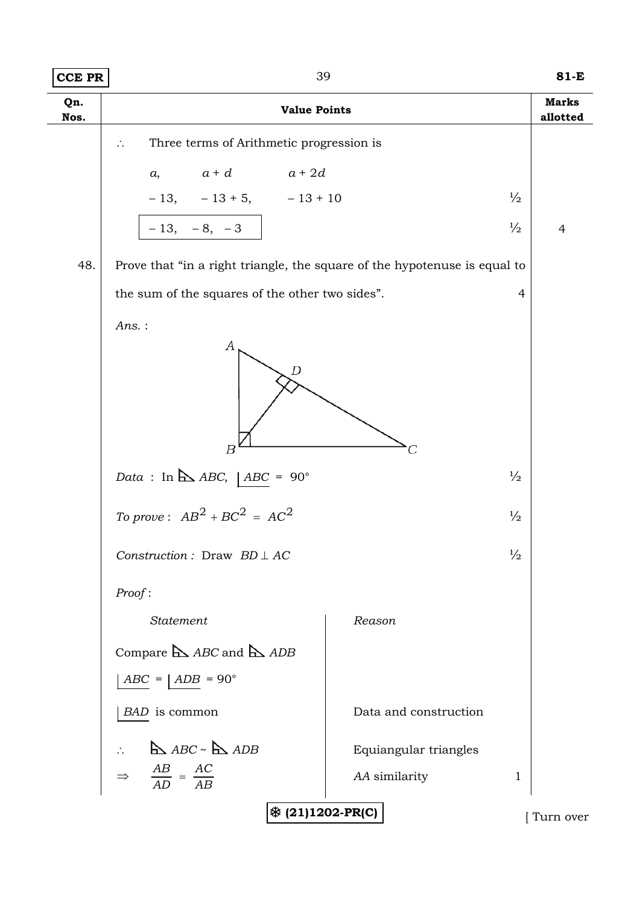| <b>CCE PR</b> | 39                                                                        |                       | $81-E$                          |
|---------------|---------------------------------------------------------------------------|-----------------------|---------------------------------|
| Qn.<br>Nos.   | <b>Value Points</b>                                                       |                       | <b>Marks</b><br>allotted        |
|               | Three terms of Arithmetic progression is<br>$\mathcal{L}_{\star}$         |                       |                                 |
|               | $a + d$ $a + 2d$<br>a,                                                    |                       |                                 |
|               | $-13, -13 + 5, -13 + 10$                                                  |                       | $\frac{1}{2}$                   |
|               | $-13, -8, -3$                                                             |                       | $\frac{1}{2}$<br>$\overline{4}$ |
| 48.           | Prove that "in a right triangle, the square of the hypotenuse is equal to |                       |                                 |
|               | the sum of the squares of the other two sides".                           |                       | $\overline{4}$                  |
|               | $Ans.$ :                                                                  |                       |                                 |
|               | А<br>D                                                                    |                       |                                 |
|               | $_{B}$                                                                    |                       |                                 |
|               | Data : In $\Delta$ ABC,   ABC = 90°                                       |                       | $\frac{1}{2}$                   |
|               | To prove: $AB^2 + BC^2 = AC^2$                                            |                       | $\frac{1}{2}$                   |
|               | Construction: Draw $BD \perp AC$                                          |                       | $\frac{1}{2}$                   |
|               | Proof:                                                                    |                       |                                 |
|               | <b>Statement</b>                                                          | Reason                |                                 |
|               | Compare $\triangle$ ABC and $\triangle$ ADB                               |                       |                                 |
|               | $ABC =   ADB = 90^\circ$                                                  |                       |                                 |
|               | BAD is common                                                             | Data and construction |                                 |
|               | $\triangle$ ABC ~ $\triangle$ ADB                                         | Equiangular triangles |                                 |
|               | $\Rightarrow \quad \frac{AB}{AD} = \frac{AC}{AB}$                         | AA similarity         | 1                               |
|               | ※ (21)1202-PR(C)                                                          |                       | Turn over                       |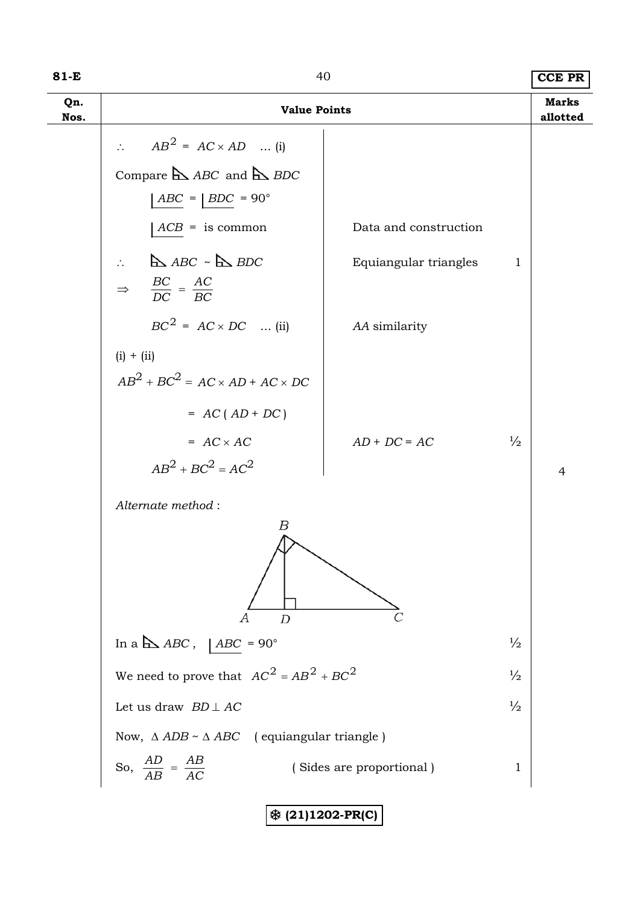| $81-E$      | 40                                                                                                                    |                          |               | <b>CCE PR</b>            |
|-------------|-----------------------------------------------------------------------------------------------------------------------|--------------------------|---------------|--------------------------|
| Qn.<br>Nos. | <b>Value Points</b>                                                                                                   |                          |               | <b>Marks</b><br>allotted |
|             | $AB^2 = AC \times AD$ (i)                                                                                             |                          |               |                          |
|             | Compare $\triangle$ ABC and $\triangle$ BDC                                                                           |                          |               |                          |
|             | $ABC =   BDC = 90^{\circ}$                                                                                            |                          |               |                          |
|             | $ACB =$ is common                                                                                                     | Data and construction    |               |                          |
|             | $\triangle$ ABC $\sim$ $\triangle$ BDC<br>$\mathcal{L}_{\text{max}}$<br>$\Rightarrow$ $\frac{BC}{DC} = \frac{AC}{BC}$ | Equiangular triangles    | 1             |                          |
|             | $BC^2 = AC \times DC$ (ii)                                                                                            | AA similarity            |               |                          |
|             | $(i) + (ii)$                                                                                                          |                          |               |                          |
|             | $AB^2 + BC^2 = AC \times AD + AC \times DC$                                                                           |                          |               |                          |
|             | $= AC(AD + DC)$                                                                                                       |                          |               |                          |
|             | $= AC \times AC$                                                                                                      | $AD + DC = AC$           | $\frac{1}{2}$ |                          |
|             | $AB^2 + BC^2 = AC^2$                                                                                                  |                          |               | $\overline{4}$           |
|             | Alternate method:                                                                                                     |                          |               |                          |
|             | В<br>$\overline{D}$<br>А                                                                                              |                          |               |                          |
|             | In a $\Delta ABC$ ,   ABC = 90°                                                                                       |                          | $\frac{1}{2}$ |                          |
|             | We need to prove that $AC^2 = AB^2 + BC^2$                                                                            |                          | $\frac{1}{2}$ |                          |
|             | Let us draw $BD \perp AC$                                                                                             |                          | $\frac{1}{2}$ |                          |
|             | Now, $\triangle$ ADB ~ $\triangle$ ABC (equiangular triangle)                                                         |                          |               |                          |
|             | So, $\frac{AD}{AB} = \frac{AB}{AC}$                                                                                   | (Sides are proportional) | $\mathbf{1}$  |                          |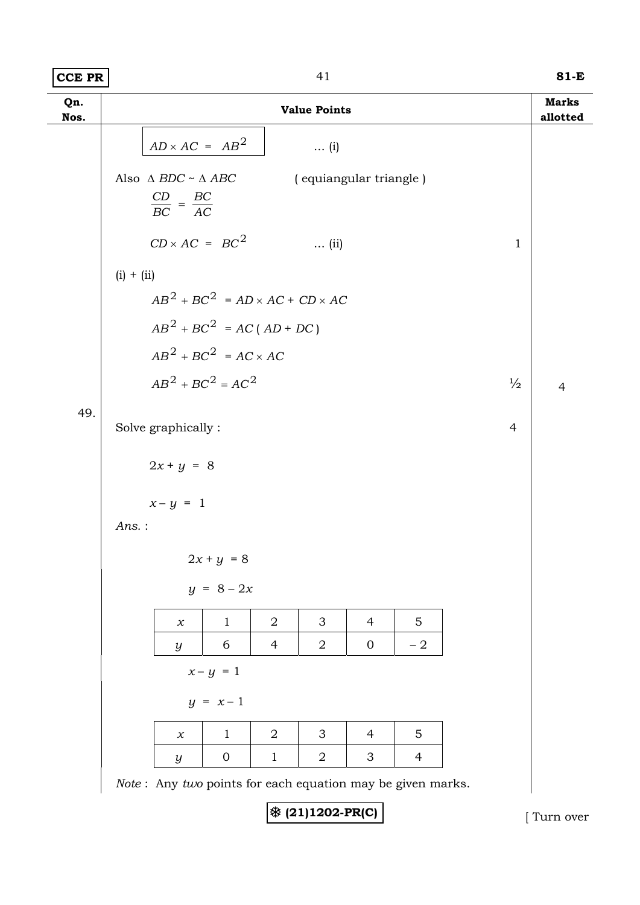| $ CCE$ PR<br>81-E |
|-------------------|
|-------------------|

| Qn.<br>Nos. | <b>Value Points</b>                                                                                | <b>Marks</b><br>allotted |
|-------------|----------------------------------------------------------------------------------------------------|--------------------------|
|             | $AD \times AC = AB^2$<br>$\ldots$ (i)                                                              |                          |
|             | Also $\Delta$ $BDC \sim \Delta$ $ABC$<br>(equiangular triangle)<br>$\frac{CD}{BC} = \frac{BC}{AC}$ |                          |
|             | $CD \times AC = BC^2$<br>$\mathbf{1}$<br>$\ldots$ (ii)                                             |                          |
|             | $(i) + (ii)$                                                                                       |                          |
|             | $AB^2 + BC^2 = AD \times AC + CD \times AC$                                                        |                          |
|             | $AB^{2} + BC^{2} = AC (AD + DC)$                                                                   |                          |
|             | $AB^2 + BC^2 = AC \times AC$                                                                       |                          |
|             | $AB^{2} + BC^{2} = AC^{2}$<br>$\frac{1}{2}$                                                        | $\overline{4}$           |
| 49.         |                                                                                                    |                          |
|             | Solve graphically:<br>$\overline{4}$                                                               |                          |
|             | $2x + y = 8$                                                                                       |                          |
|             | $x-y = 1$                                                                                          |                          |
|             | Ans.:                                                                                              |                          |
|             | $2x + y = 8$                                                                                       |                          |
|             | $y = 8 - 2x$                                                                                       |                          |
|             | 3<br>5<br>$\overline{2}$<br>$\overline{4}$<br>$\mathbf{1}$<br>$\chi$                               |                          |
|             | $\overline{2}$<br>6<br>$\overline{4}$<br>$\mathbf{0}$<br>$-2$<br>$\boldsymbol{y}$                  |                          |
|             | $x-y = 1$                                                                                          |                          |
|             | $y = x - 1$                                                                                        |                          |
|             | 5<br>$\overline{2}$<br>3<br>$\mathbf{1}$<br>$\overline{4}$<br>$\chi$                               |                          |
|             | $\overline{2}$<br>$\mathbf{0}$<br>$\mathbf{1}$<br>3<br>$\overline{4}$<br>$\boldsymbol{y}$          |                          |
|             | Note: Any two points for each equation may be given marks.                                         |                          |

7 **(21)1202-PR(C)** [ Turn over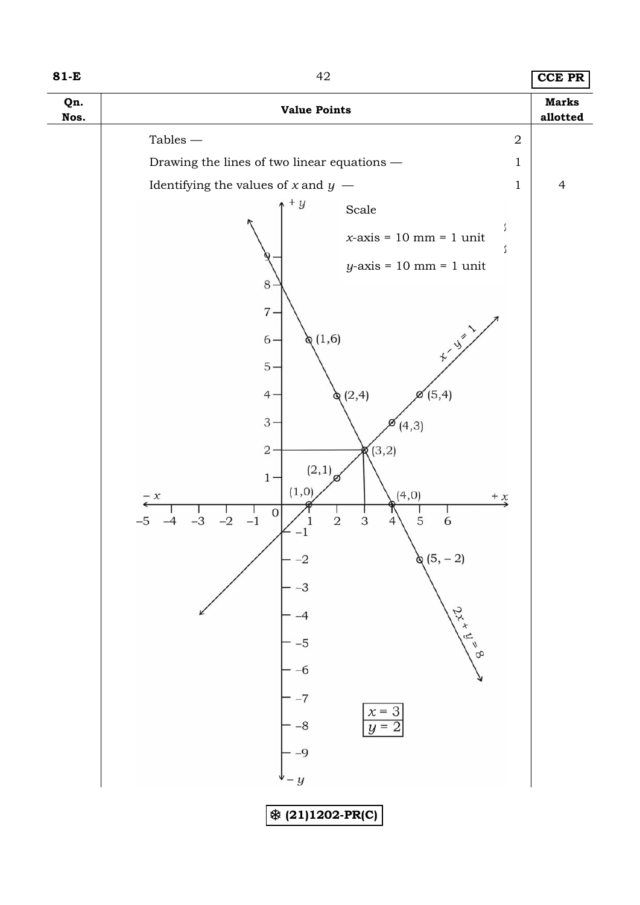| ×<br>۰. |  |  |
|---------|--|--|
|---------|--|--|

# **81-E** 42 **CCE PR**

| Tables $-\,$<br>$\boldsymbol{2}$<br>Drawing the lines of two linear equations —<br>1<br>Identifying the values of $x$ and $y$ –<br>$\overline{4}$<br>$\mathbf 1$<br>$+ y$<br>$\operatorname{Scale}$<br>ĵ.<br>$x$ -axis = 10 mm = 1 unit<br>$y$ -axis = 10 mm = 1 unit<br>$\,8\,$<br>$7 -$<br>$\begin{picture}(120,115) \put(0,0){\line(1,0){15}} \put(15,0){\line(1,0){15}} \put(15,0){\line(1,0){15}} \put(15,0){\line(1,0){15}} \put(15,0){\line(1,0){15}} \put(15,0){\line(1,0){15}} \put(15,0){\line(1,0){15}} \put(15,0){\line(1,0){15}} \put(15,0){\line(1,0){15}} \put(15,0){\line(1,0){15}} \put(15,0){\line(1,0){15}} \put(15,0){\line$<br>(1,6)<br>$6 -$<br>$5 -$<br>(2,4)<br>$\mathscr{A}(5,4)$<br>$4 -$<br>$3 -$<br>(4,3)<br>(3,2)<br>$2\cdot$<br>ø<br>(2,1)<br>$1 -$<br>(1, 0)<br>(4, 0)<br>$- x$<br>$\stackrel{+}{\rightarrow}$<br>$\mathbf 0$<br>$-1$<br>$\,2$<br>$\ensuremath{\mathsf{3}}$<br>$\mathbf 5$<br>$-2$<br>6<br>$-3$<br>$-5$<br>$\overline{4}$<br>$\&(5,-2)$<br>$-2$<br>-3<br>$2^{x}x^{\frac{1}{y}}=\frac{8}{x^{9}}$<br>-5<br>-6 | Qn.<br>Nos. | <b>Value Points</b> | <b>Marks</b><br>allotted |
|------------------------------------------------------------------------------------------------------------------------------------------------------------------------------------------------------------------------------------------------------------------------------------------------------------------------------------------------------------------------------------------------------------------------------------------------------------------------------------------------------------------------------------------------------------------------------------------------------------------------------------------------------------------------------------------------------------------------------------------------------------------------------------------------------------------------------------------------------------------------------------------------------------------------------------------------------------------------------------------------------------------------------------------------------------|-------------|---------------------|--------------------------|
|                                                                                                                                                                                                                                                                                                                                                                                                                                                                                                                                                                                                                                                                                                                                                                                                                                                                                                                                                                                                                                                            |             |                     |                          |
|                                                                                                                                                                                                                                                                                                                                                                                                                                                                                                                                                                                                                                                                                                                                                                                                                                                                                                                                                                                                                                                            |             |                     |                          |
|                                                                                                                                                                                                                                                                                                                                                                                                                                                                                                                                                                                                                                                                                                                                                                                                                                                                                                                                                                                                                                                            |             |                     |                          |
| $x = 3$<br>$-8$<br>$y =$<br>$-9$<br>$-y$<br><b>※ (21)1202-PR(C)</b>                                                                                                                                                                                                                                                                                                                                                                                                                                                                                                                                                                                                                                                                                                                                                                                                                                                                                                                                                                                        |             |                     |                          |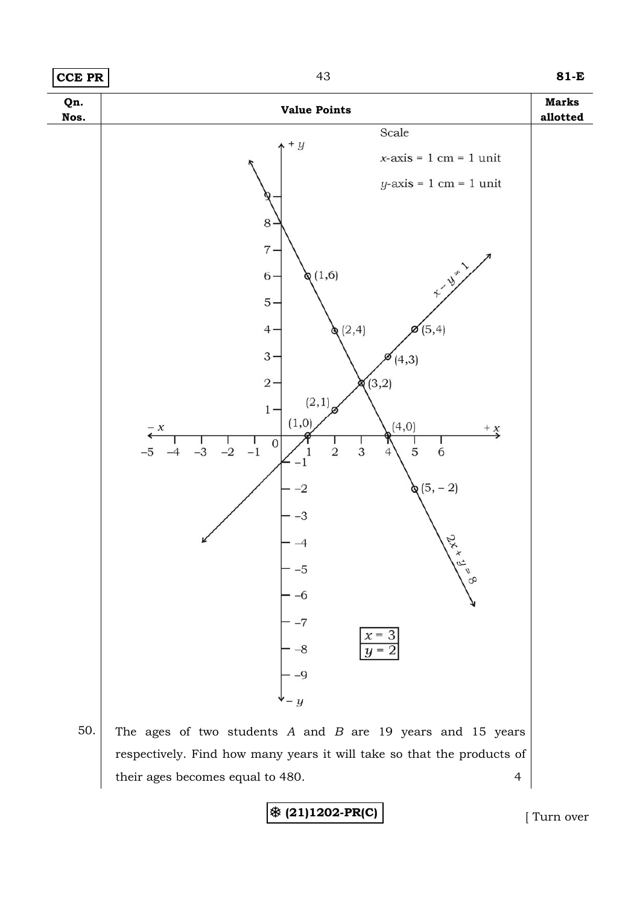

their ages becomes equal to 480. 4

**※ (21)1202-PR(C)** [ Turn over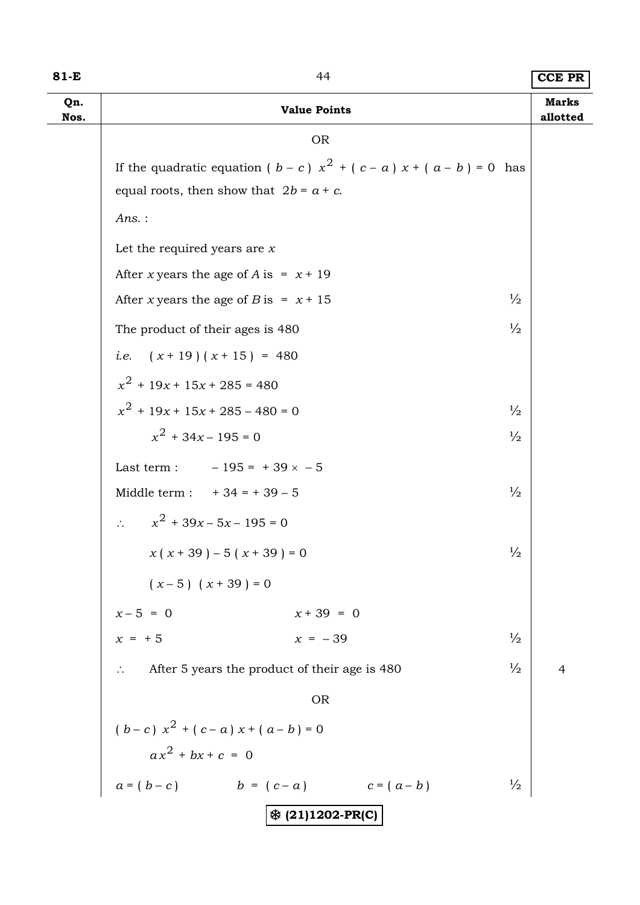| 81-E        | 44                                                                        | <b>CCE PR</b>            |
|-------------|---------------------------------------------------------------------------|--------------------------|
| Qn.<br>Nos. | <b>Value Points</b>                                                       | <b>Marks</b><br>allotted |
|             | <b>OR</b>                                                                 |                          |
|             | If the quadratic equation ( $b - c$ ) $x^2 + (c - a) x + (a - b) = 0$ has |                          |
|             | equal roots, then show that $2b = a + c$ .                                |                          |
|             | $Ans.$ :                                                                  |                          |
|             | Let the required years are $x$                                            |                          |
|             | After x years the age of A is = $x + 19$                                  |                          |
|             | $\frac{1}{2}$<br>After x years the age of B is = $x + 15$                 |                          |
|             | $\frac{1}{2}$<br>The product of their ages is 480                         |                          |
|             | <i>i.e.</i> $(x+19)(x+15) = 480$                                          |                          |
|             | $x^2$ + 19x + 15x + 285 = 480                                             |                          |
|             | $x^{2}$ + 19x + 15x + 285 - 480 = 0<br>$\frac{1}{2}$                      |                          |
|             | $x^{2}$ + 34x – 195 = 0<br>$\frac{1}{2}$                                  |                          |
|             | Last term : $-195 = +39 \times -5$                                        |                          |
|             | Middle term : $+34 = +39 - 5$<br>$\frac{1}{2}$                            |                          |
|             | $x^{2}$ + 39x – 5x – 195 = 0<br>$\Delta \sim 10^4$                        |                          |
|             | $\frac{1}{2}$<br>$x(x+39)-5(x+39)=0$                                      |                          |
|             | $(x-5)$ $(x+39) = 0$                                                      |                          |
|             | $x + 39 = 0$                                                              |                          |
|             | $x-5 = 0$<br>$x = +5$<br>$x = -39$<br>$\frac{1}{2}$                       |                          |
|             | $\frac{1}{2}$<br>After 5 years the product of their age is 480            | $\overline{4}$           |
|             | <b>OR</b>                                                                 |                          |
|             | $(b-c) x2 + (c-a) x + (a-b) = 0$                                          |                          |
|             | $ax^2 + bx + c = 0$                                                       |                          |
|             | $a = (b - c)$ $b = (c - a)$ $c = (a - b)$<br>$\frac{1}{2}$                |                          |
|             | ※ (21)1202-PR(C)                                                          |                          |